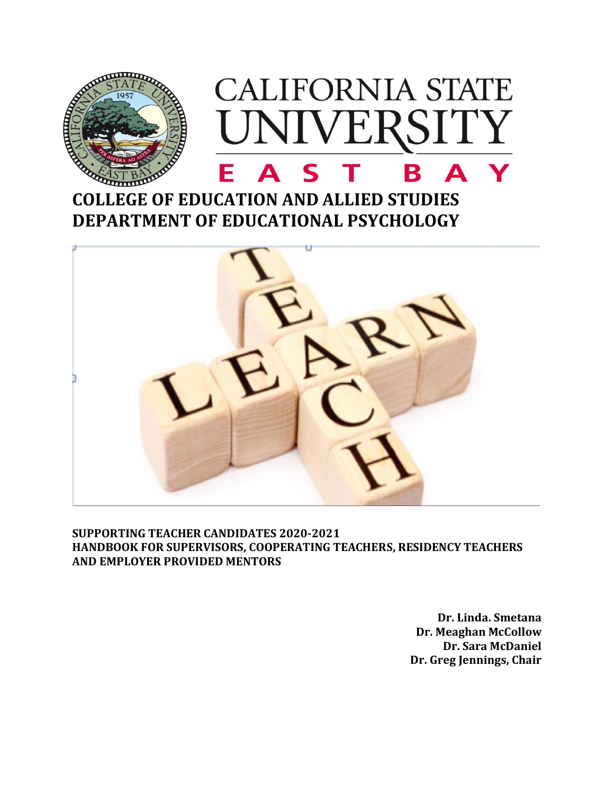

# **COLLEGE OF EDUCATION AND ALLIED STUDIES DEPARTMENT OF EDUCATIONAL PSYCHOLOGY**



**SUPPORTING TEACHER CANDIDATES 2020-2021 HANDBOOK FOR SUPERVISORS, COOPERATING TEACHERS, RESIDENCY TEACHERS AND EMPLOYER PROVIDED MENTORS** 

> **Dr. Linda. Smetana Dr. Meaghan McCollow Dr. Sara McDaniel Dr. Greg Jennings, Chair**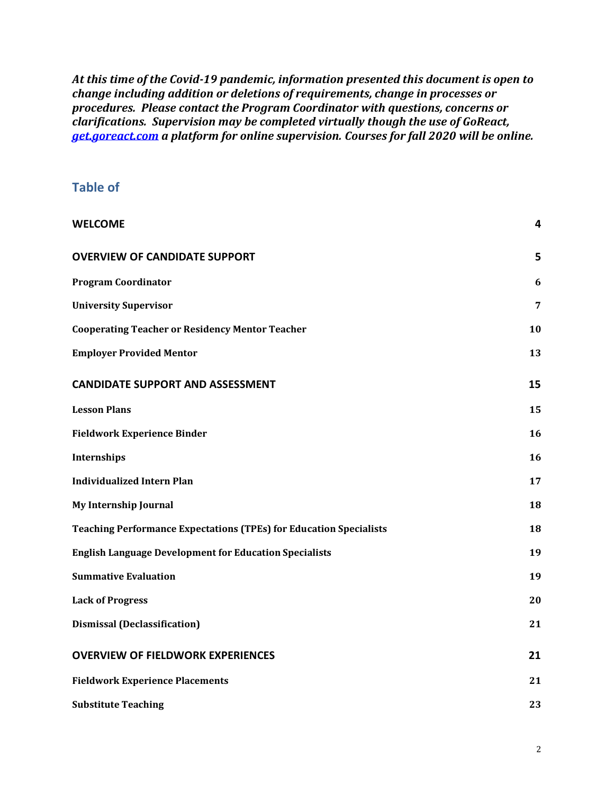*At this time of the Covid-19 pandemic, information presented this document is open to change including addition or deletions of requirements, change in processes or procedures. Please contact the Program Coordinator with questions, concerns or clarifications. Supervision may be completed virtually though the use of GoReact, [get.goreact.com](http://get.goreact.com/) a platform for online supervision. Courses for fall 2020 will be online.*

## **Table of**

| <b>WELCOME</b>                                                            | 4  |
|---------------------------------------------------------------------------|----|
| <b>OVERVIEW OF CANDIDATE SUPPORT</b>                                      | 5  |
| <b>Program Coordinator</b>                                                | 6  |
| <b>University Supervisor</b>                                              | 7  |
| <b>Cooperating Teacher or Residency Mentor Teacher</b>                    | 10 |
| <b>Employer Provided Mentor</b>                                           | 13 |
| <b>CANDIDATE SUPPORT AND ASSESSMENT</b>                                   | 15 |
| <b>Lesson Plans</b>                                                       | 15 |
| <b>Fieldwork Experience Binder</b>                                        | 16 |
| Internships                                                               | 16 |
| <b>Individualized Intern Plan</b>                                         | 17 |
| <b>My Internship Journal</b>                                              | 18 |
| <b>Teaching Performance Expectations (TPEs) for Education Specialists</b> | 18 |
| <b>English Language Development for Education Specialists</b>             | 19 |
| <b>Summative Evaluation</b>                                               | 19 |
| <b>Lack of Progress</b>                                                   | 20 |
| <b>Dismissal (Declassification)</b>                                       | 21 |
| <b>OVERVIEW OF FIELDWORK EXPERIENCES</b>                                  | 21 |
| <b>Fieldwork Experience Placements</b>                                    | 21 |
| <b>Substitute Teaching</b>                                                | 23 |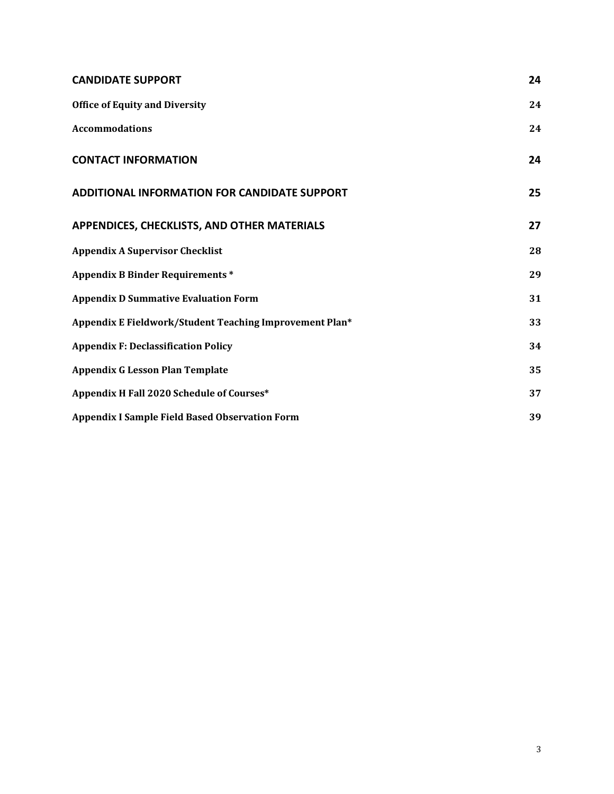| <b>CANDIDATE SUPPORT</b>                                | 24 |
|---------------------------------------------------------|----|
| <b>Office of Equity and Diversity</b>                   | 24 |
| <b>Accommodations</b>                                   | 24 |
| <b>CONTACT INFORMATION</b>                              | 24 |
| <b>ADDITIONAL INFORMATION FOR CANDIDATE SUPPORT</b>     | 25 |
| APPENDICES, CHECKLISTS, AND OTHER MATERIALS             | 27 |
| <b>Appendix A Supervisor Checklist</b>                  | 28 |
| <b>Appendix B Binder Requirements *</b>                 | 29 |
| <b>Appendix D Summative Evaluation Form</b>             | 31 |
| Appendix E Fieldwork/Student Teaching Improvement Plan* | 33 |
| <b>Appendix F: Declassification Policy</b>              | 34 |
| <b>Appendix G Lesson Plan Template</b>                  | 35 |
| Appendix H Fall 2020 Schedule of Courses*               | 37 |
| <b>Appendix I Sample Field Based Observation Form</b>   | 39 |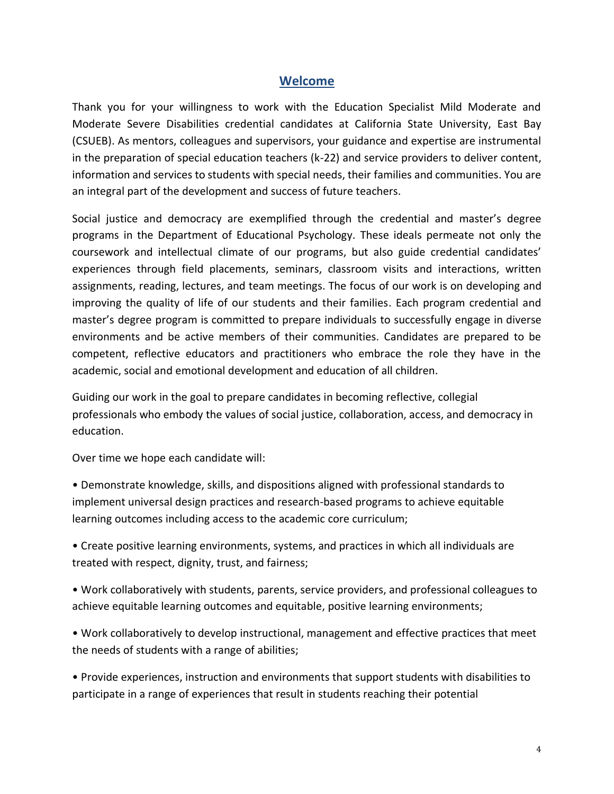## **Welcome**

<span id="page-3-0"></span>Thank you for your willingness to work with the Education Specialist Mild Moderate and Moderate Severe Disabilities credential candidates at California State University, East Bay (CSUEB). As mentors, colleagues and supervisors, your guidance and expertise are instrumental in the preparation of special education teachers (k-22) and service providers to deliver content, information and services to students with special needs, their families and communities. You are an integral part of the development and success of future teachers.

Social justice and democracy are exemplified through the credential and master's degree programs in the Department of Educational Psychology. These ideals permeate not only the coursework and intellectual climate of our programs, but also guide credential candidates' experiences through field placements, seminars, classroom visits and interactions, written assignments, reading, lectures, and team meetings. The focus of our work is on developing and improving the quality of life of our students and their families. Each program credential and master's degree program is committed to prepare individuals to successfully engage in diverse environments and be active members of their communities. Candidates are prepared to be competent, reflective educators and practitioners who embrace the role they have in the academic, social and emotional development and education of all children.

Guiding our work in the goal to prepare candidates in becoming reflective, collegial professionals who embody the values of social justice, collaboration, access, and democracy in education.

Over time we hope each candidate will:

• Demonstrate knowledge, skills, and dispositions aligned with professional standards to implement universal design practices and research-based programs to achieve equitable learning outcomes including access to the academic core curriculum;

• Create positive learning environments, systems, and practices in which all individuals are treated with respect, dignity, trust, and fairness;

• Work collaboratively with students, parents, service providers, and professional colleagues to achieve equitable learning outcomes and equitable, positive learning environments;

• Work collaboratively to develop instructional, management and effective practices that meet the needs of students with a range of abilities;

• Provide experiences, instruction and environments that support students with disabilities to participate in a range of experiences that result in students reaching their potential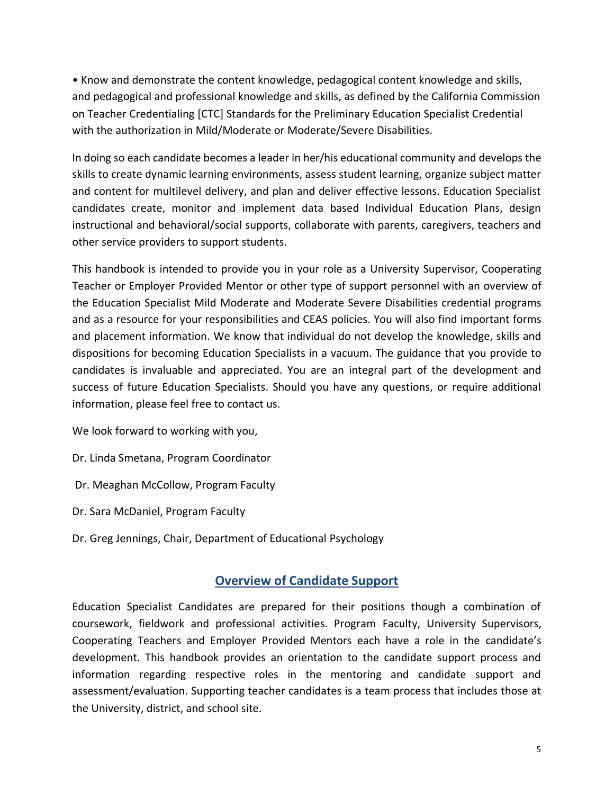• Know and demonstrate the content knowledge, pedagogical content knowledge and skills, and pedagogical and professional knowledge and skills, as defined by the California Commission on Teacher Credentialing [CTC] Standards for the Preliminary Education Specialist Credential with the authorization in Mild/Moderate or Moderate/Severe Disabilities.

In doing so each candidate becomes a leader in her/his educational community and develops the skills to create dynamic learning environments, assess student learning, organize subject matter and content for multilevel delivery, and plan and deliver effective lessons. Education Specialist candidates create, monitor and implement data based Individual Education Plans, design instructional and behavioral/social supports, collaborate with parents, caregivers, teachers and other service providers to support students.

This handbook is intended to provide you in your role as a University Supervisor, Cooperating Teacher or Employer Provided Mentor or other type of support personnel with an overview of the Education Specialist Mild Moderate and Moderate Severe Disabilities credential programs and as a resource for your responsibilities and CEAS policies. You will also find important forms and placement information. We know that individual do not develop the knowledge, skills and dispositions for becoming Education Specialists in a vacuum. The guidance that you provide to candidates is invaluable and appreciated. You are an integral part of the development and success of future Education Specialists. Should you have any questions, or require additional information, please feel free to contact us.

We look forward to working with you,

- Dr. Linda Smetana, Program Coordinator
- Dr. Meaghan McCollow, Program Faculty
- Dr. Sara McDaniel, Program Faculty
- <span id="page-4-0"></span>Dr. Greg Jennings, Chair, Department of Educational Psychology

## **Overview of Candidate Support**

Education Specialist Candidates are prepared for their positions though a combination of coursework, fieldwork and professional activities. Program Faculty, University Supervisors, Cooperating Teachers and Employer Provided Mentors each have a role in the candidate's development. This handbook provides an orientation to the candidate support process and information regarding respective roles in the mentoring and candidate support and assessment/evaluation. Supporting teacher candidates is a team process that includes those at the University, district, and school site.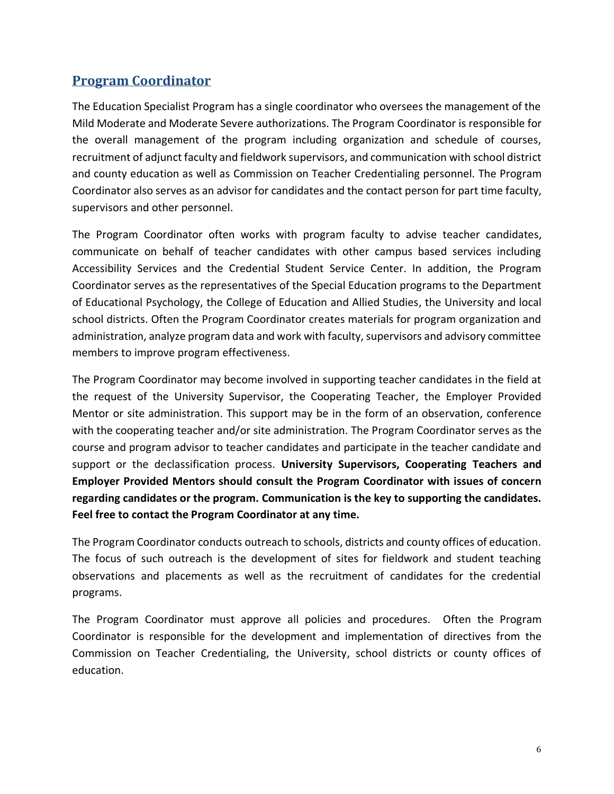# <span id="page-5-0"></span>**Program Coordinator**

The Education Specialist Program has a single coordinator who oversees the management of the Mild Moderate and Moderate Severe authorizations. The Program Coordinator is responsible for the overall management of the program including organization and schedule of courses, recruitment of adjunct faculty and fieldwork supervisors, and communication with school district and county education as well as Commission on Teacher Credentialing personnel. The Program Coordinator also serves as an advisor for candidates and the contact person for part time faculty, supervisors and other personnel.

The Program Coordinator often works with program faculty to advise teacher candidates, communicate on behalf of teacher candidates with other campus based services including Accessibility Services and the Credential Student Service Center. In addition, the Program Coordinator serves as the representatives of the Special Education programs to the Department of Educational Psychology, the College of Education and Allied Studies, the University and local school districts. Often the Program Coordinator creates materials for program organization and administration, analyze program data and work with faculty, supervisors and advisory committee members to improve program effectiveness.

The Program Coordinator may become involved in supporting teacher candidates in the field at the request of the University Supervisor, the Cooperating Teacher, the Employer Provided Mentor or site administration. This support may be in the form of an observation, conference with the cooperating teacher and/or site administration. The Program Coordinator serves as the course and program advisor to teacher candidates and participate in the teacher candidate and support or the declassification process. **University Supervisors, Cooperating Teachers and Employer Provided Mentors should consult the Program Coordinator with issues of concern regarding candidates or the program. Communication is the key to supporting the candidates. Feel free to contact the Program Coordinator at any time.**

The Program Coordinator conducts outreach to schools, districts and county offices of education. The focus of such outreach is the development of sites for fieldwork and student teaching observations and placements as well as the recruitment of candidates for the credential programs.

The Program Coordinator must approve all policies and procedures. Often the Program Coordinator is responsible for the development and implementation of directives from the Commission on Teacher Credentialing, the University, school districts or county offices of education.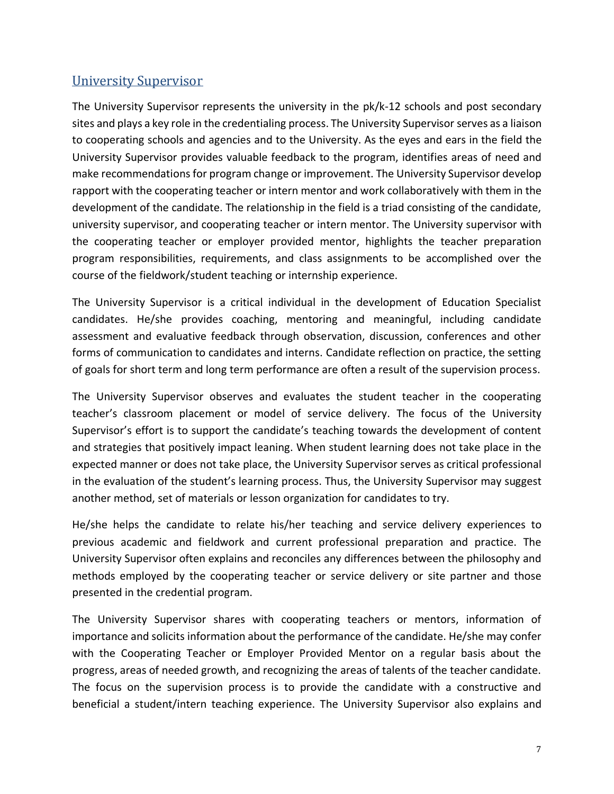# <span id="page-6-0"></span>University Supervisor

The University Supervisor represents the university in the pk/k-12 schools and post secondary sites and plays a key role in the credentialing process. The University Supervisor serves as a liaison to cooperating schools and agencies and to the University. As the eyes and ears in the field the University Supervisor provides valuable feedback to the program, identifies areas of need and make recommendations for program change or improvement. The University Supervisor develop rapport with the cooperating teacher or intern mentor and work collaboratively with them in the development of the candidate. The relationship in the field is a triad consisting of the candidate, university supervisor, and cooperating teacher or intern mentor. The University supervisor with the cooperating teacher or employer provided mentor, highlights the teacher preparation program responsibilities, requirements, and class assignments to be accomplished over the course of the fieldwork/student teaching or internship experience.

The University Supervisor is a critical individual in the development of Education Specialist candidates. He/she provides coaching, mentoring and meaningful, including candidate assessment and evaluative feedback through observation, discussion, conferences and other forms of communication to candidates and interns. Candidate reflection on practice, the setting of goals for short term and long term performance are often a result of the supervision process.

The University Supervisor observes and evaluates the student teacher in the cooperating teacher's classroom placement or model of service delivery. The focus of the University Supervisor's effort is to support the candidate's teaching towards the development of content and strategies that positively impact leaning. When student learning does not take place in the expected manner or does not take place, the University Supervisor serves as critical professional in the evaluation of the student's learning process. Thus, the University Supervisor may suggest another method, set of materials or lesson organization for candidates to try.

He/she helps the candidate to relate his/her teaching and service delivery experiences to previous academic and fieldwork and current professional preparation and practice. The University Supervisor often explains and reconciles any differences between the philosophy and methods employed by the cooperating teacher or service delivery or site partner and those presented in the credential program.

The University Supervisor shares with cooperating teachers or mentors, information of importance and solicits information about the performance of the candidate. He/she may confer with the Cooperating Teacher or Employer Provided Mentor on a regular basis about the progress, areas of needed growth, and recognizing the areas of talents of the teacher candidate. The focus on the supervision process is to provide the candidate with a constructive and beneficial a student/intern teaching experience. The University Supervisor also explains and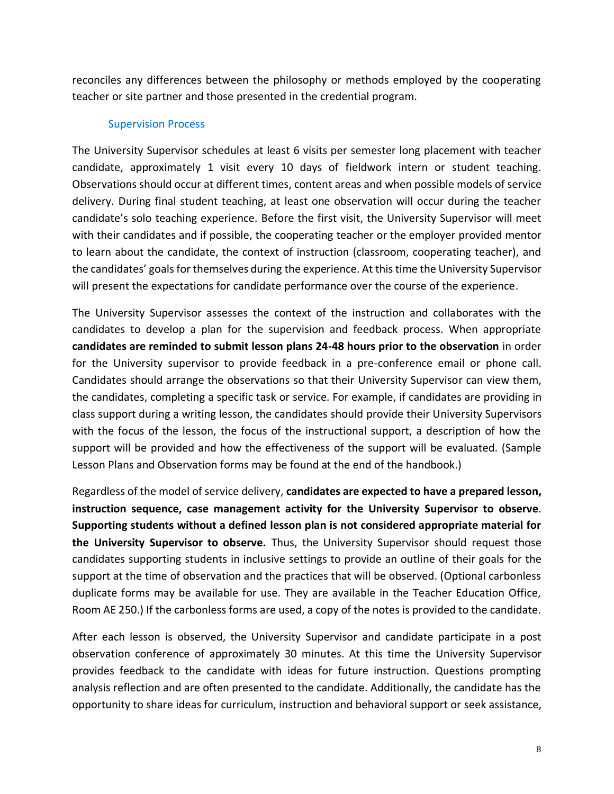reconciles any differences between the philosophy or methods employed by the cooperating teacher or site partner and those presented in the credential program.

#### Supervision Process

The University Supervisor schedules at least 6 visits per semester long placement with teacher candidate, approximately 1 visit every 10 days of fieldwork intern or student teaching. Observations should occur at different times, content areas and when possible models of service delivery. During final student teaching, at least one observation will occur during the teacher candidate's solo teaching experience. Before the first visit, the University Supervisor will meet with their candidates and if possible, the cooperating teacher or the employer provided mentor to learn about the candidate, the context of instruction (classroom, cooperating teacher), and the candidates' goals for themselves during the experience. At this time the University Supervisor will present the expectations for candidate performance over the course of the experience.

The University Supervisor assesses the context of the instruction and collaborates with the candidates to develop a plan for the supervision and feedback process. When appropriate **candidates are reminded to submit lesson plans 24-48 hours prior to the observation** in order for the University supervisor to provide feedback in a pre-conference email or phone call. Candidates should arrange the observations so that their University Supervisor can view them, the candidates, completing a specific task or service. For example, if candidates are providing in class support during a writing lesson, the candidates should provide their University Supervisors with the focus of the lesson, the focus of the instructional support, a description of how the support will be provided and how the effectiveness of the support will be evaluated. (Sample Lesson Plans and Observation forms may be found at the end of the handbook.)

Regardless of the model of service delivery, **candidates are expected to have a prepared lesson, instruction sequence, case management activity for the University Supervisor to observe**. **Supporting students without a defined lesson plan is not considered appropriate material for the University Supervisor to observe.** Thus, the University Supervisor should request those candidates supporting students in inclusive settings to provide an outline of their goals for the support at the time of observation and the practices that will be observed. (Optional carbonless duplicate forms may be available for use. They are available in the Teacher Education Office, Room AE 250.) If the carbonless forms are used, a copy of the notes is provided to the candidate.

After each lesson is observed, the University Supervisor and candidate participate in a post observation conference of approximately 30 minutes. At this time the University Supervisor provides feedback to the candidate with ideas for future instruction. Questions prompting analysis reflection and are often presented to the candidate. Additionally, the candidate has the opportunity to share ideas for curriculum, instruction and behavioral support or seek assistance,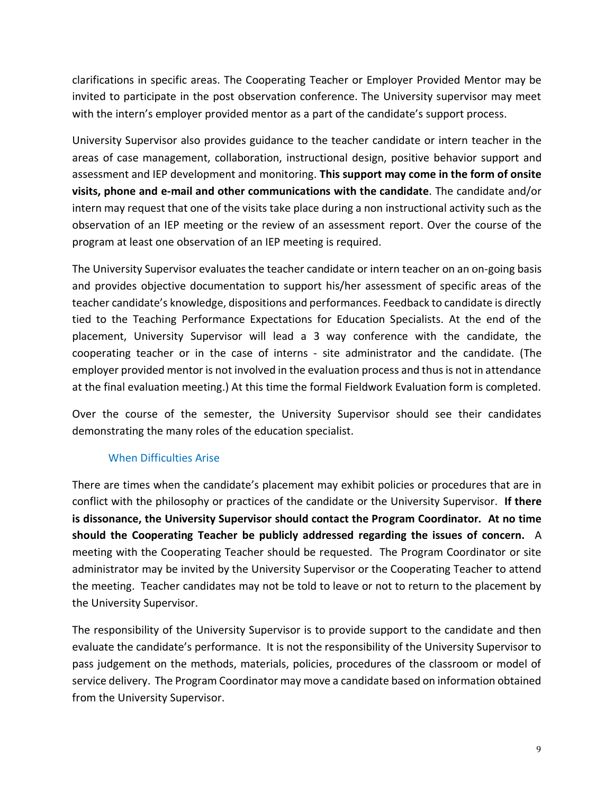clarifications in specific areas. The Cooperating Teacher or Employer Provided Mentor may be invited to participate in the post observation conference. The University supervisor may meet with the intern's employer provided mentor as a part of the candidate's support process.

University Supervisor also provides guidance to the teacher candidate or intern teacher in the areas of case management, collaboration, instructional design, positive behavior support and assessment and IEP development and monitoring. **This support may come in the form of onsite visits, phone and e-mail and other communications with the candidate**. The candidate and/or intern may request that one of the visits take place during a non instructional activity such as the observation of an IEP meeting or the review of an assessment report. Over the course of the program at least one observation of an IEP meeting is required.

The University Supervisor evaluates the teacher candidate or intern teacher on an on-going basis and provides objective documentation to support his/her assessment of specific areas of the teacher candidate's knowledge, dispositions and performances. Feedback to candidate is directly tied to the Teaching Performance Expectations for Education Specialists. At the end of the placement, University Supervisor will lead a 3 way conference with the candidate, the cooperating teacher or in the case of interns - site administrator and the candidate. (The employer provided mentor is not involved in the evaluation process and thus is not in attendance at the final evaluation meeting.) At this time the formal Fieldwork Evaluation form is completed.

Over the course of the semester, the University Supervisor should see their candidates demonstrating the many roles of the education specialist.

## When Difficulties Arise

There are times when the candidate's placement may exhibit policies or procedures that are in conflict with the philosophy or practices of the candidate or the University Supervisor. **If there is dissonance, the University Supervisor should contact the Program Coordinator. At no time should the Cooperating Teacher be publicly addressed regarding the issues of concern.** A meeting with the Cooperating Teacher should be requested. The Program Coordinator or site administrator may be invited by the University Supervisor or the Cooperating Teacher to attend the meeting. Teacher candidates may not be told to leave or not to return to the placement by the University Supervisor.

The responsibility of the University Supervisor is to provide support to the candidate and then evaluate the candidate's performance. It is not the responsibility of the University Supervisor to pass judgement on the methods, materials, policies, procedures of the classroom or model of service delivery. The Program Coordinator may move a candidate based on information obtained from the University Supervisor.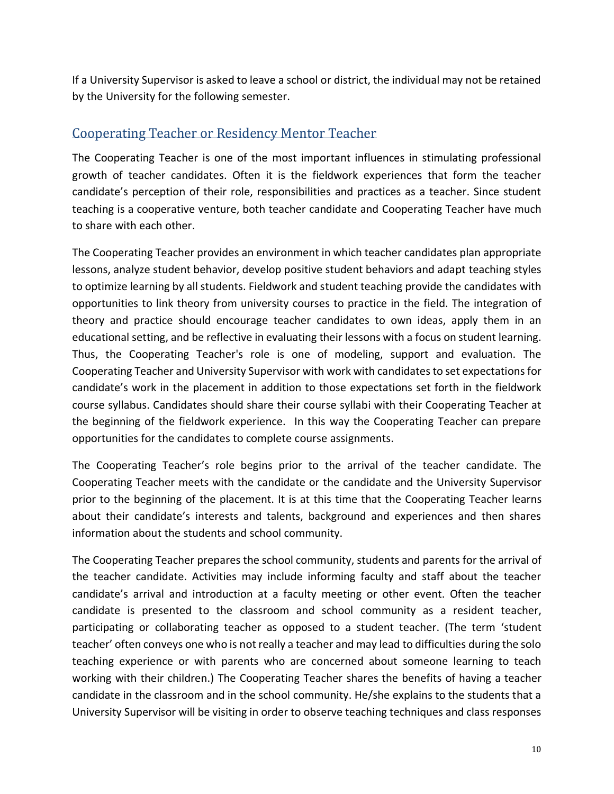If a University Supervisor is asked to leave a school or district, the individual may not be retained by the University for the following semester.

# <span id="page-9-0"></span>Cooperating Teacher or Residency Mentor Teacher

The Cooperating Teacher is one of the most important influences in stimulating professional growth of teacher candidates. Often it is the fieldwork experiences that form the teacher candidate's perception of their role, responsibilities and practices as a teacher. Since student teaching is a cooperative venture, both teacher candidate and Cooperating Teacher have much to share with each other.

The Cooperating Teacher provides an environment in which teacher candidates plan appropriate lessons, analyze student behavior, develop positive student behaviors and adapt teaching styles to optimize learning by all students. Fieldwork and student teaching provide the candidates with opportunities to link theory from university courses to practice in the field. The integration of theory and practice should encourage teacher candidates to own ideas, apply them in an educational setting, and be reflective in evaluating their lessons with a focus on student learning. Thus, the Cooperating Teacher's role is one of modeling, support and evaluation. The Cooperating Teacher and University Supervisor with work with candidatesto set expectations for candidate's work in the placement in addition to those expectations set forth in the fieldwork course syllabus. Candidates should share their course syllabi with their Cooperating Teacher at the beginning of the fieldwork experience. In this way the Cooperating Teacher can prepare opportunities for the candidates to complete course assignments.

The Cooperating Teacher's role begins prior to the arrival of the teacher candidate. The Cooperating Teacher meets with the candidate or the candidate and the University Supervisor prior to the beginning of the placement. It is at this time that the Cooperating Teacher learns about their candidate's interests and talents, background and experiences and then shares information about the students and school community.

The Cooperating Teacher prepares the school community, students and parents for the arrival of the teacher candidate. Activities may include informing faculty and staff about the teacher candidate's arrival and introduction at a faculty meeting or other event. Often the teacher candidate is presented to the classroom and school community as a resident teacher, participating or collaborating teacher as opposed to a student teacher. (The term 'student teacher' often conveys one who is not really a teacher and may lead to difficulties during the solo teaching experience or with parents who are concerned about someone learning to teach working with their children.) The Cooperating Teacher shares the benefits of having a teacher candidate in the classroom and in the school community. He/she explains to the students that a University Supervisor will be visiting in order to observe teaching techniques and class responses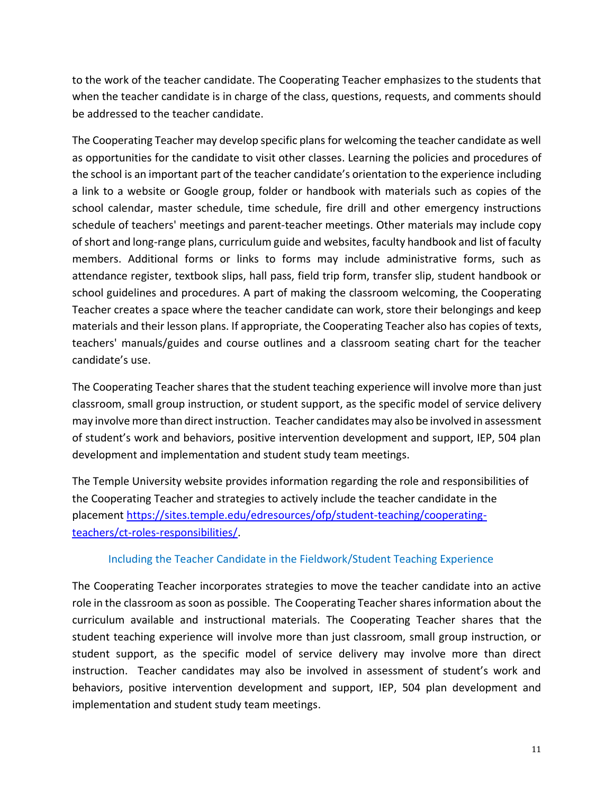to the work of the teacher candidate. The Cooperating Teacher emphasizes to the students that when the teacher candidate is in charge of the class, questions, requests, and comments should be addressed to the teacher candidate.

The Cooperating Teacher may develop specific plans for welcoming the teacher candidate as well as opportunities for the candidate to visit other classes. Learning the policies and procedures of the school is an important part of the teacher candidate's orientation to the experience including a link to a website or Google group, folder or handbook with materials such as copies of the school calendar, master schedule, time schedule, fire drill and other emergency instructions schedule of teachers' meetings and parent-teacher meetings. Other materials may include copy of short and long-range plans, curriculum guide and websites, faculty handbook and list of faculty members. Additional forms or links to forms may include administrative forms, such as attendance register, textbook slips, hall pass, field trip form, transfer slip, student handbook or school guidelines and procedures. A part of making the classroom welcoming, the Cooperating Teacher creates a space where the teacher candidate can work, store their belongings and keep materials and their lesson plans. If appropriate, the Cooperating Teacher also has copies of texts, teachers' manuals/guides and course outlines and a classroom seating chart for the teacher candidate's use.

The Cooperating Teacher shares that the student teaching experience will involve more than just classroom, small group instruction, or student support, as the specific model of service delivery may involve more than direct instruction. Teacher candidates may also be involved in assessment of student's work and behaviors, positive intervention development and support, IEP, 504 plan development and implementation and student study team meetings.

The Temple University website provides information regarding the role and responsibilities of the Cooperating Teacher and strategies to actively include the teacher candidate in the placement [https://sites.temple.edu/edresources/ofp/student-teaching/cooperating](https://sites.temple.edu/edresources/ofp/student-teaching/cooperating-teachers/ct-roles-responsibilities/)[teachers/ct-roles-responsibilities/.](https://sites.temple.edu/edresources/ofp/student-teaching/cooperating-teachers/ct-roles-responsibilities/)

### Including the Teacher Candidate in the Fieldwork/Student Teaching Experience

The Cooperating Teacher incorporates strategies to move the teacher candidate into an active role in the classroom as soon as possible. The Cooperating Teacher sharesinformation about the curriculum available and instructional materials. The Cooperating Teacher shares that the student teaching experience will involve more than just classroom, small group instruction, or student support, as the specific model of service delivery may involve more than direct instruction. Teacher candidates may also be involved in assessment of student's work and behaviors, positive intervention development and support, IEP, 504 plan development and implementation and student study team meetings.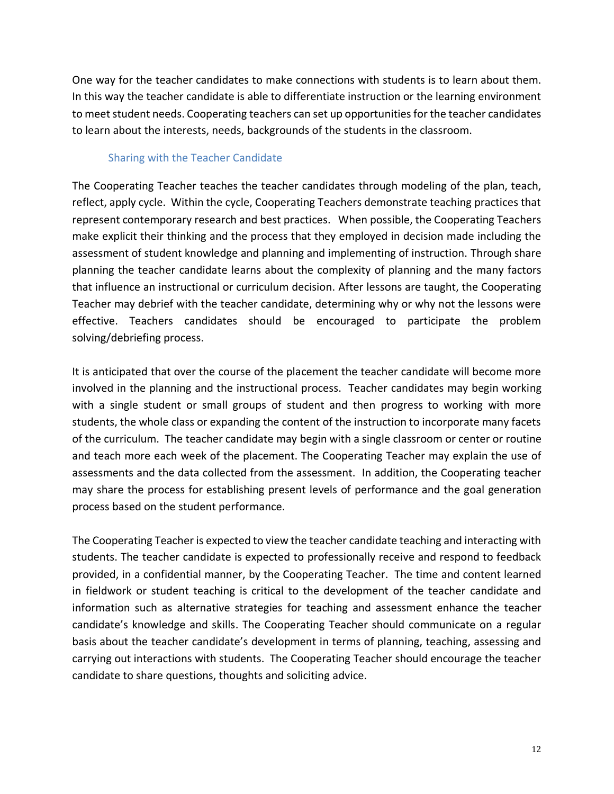One way for the teacher candidates to make connections with students is to learn about them. In this way the teacher candidate is able to differentiate instruction or the learning environment to meet student needs. Cooperating teachers can set up opportunities for the teacher candidates to learn about the interests, needs, backgrounds of the students in the classroom.

### Sharing with the Teacher Candidate

The Cooperating Teacher teaches the teacher candidates through modeling of the plan, teach, reflect, apply cycle. Within the cycle, Cooperating Teachers demonstrate teaching practices that represent contemporary research and best practices. When possible, the Cooperating Teachers make explicit their thinking and the process that they employed in decision made including the assessment of student knowledge and planning and implementing of instruction. Through share planning the teacher candidate learns about the complexity of planning and the many factors that influence an instructional or curriculum decision. After lessons are taught, the Cooperating Teacher may debrief with the teacher candidate, determining why or why not the lessons were effective. Teachers candidates should be encouraged to participate the problem solving/debriefing process.

It is anticipated that over the course of the placement the teacher candidate will become more involved in the planning and the instructional process. Teacher candidates may begin working with a single student or small groups of student and then progress to working with more students, the whole class or expanding the content of the instruction to incorporate many facets of the curriculum. The teacher candidate may begin with a single classroom or center or routine and teach more each week of the placement. The Cooperating Teacher may explain the use of assessments and the data collected from the assessment. In addition, the Cooperating teacher may share the process for establishing present levels of performance and the goal generation process based on the student performance.

The Cooperating Teacher is expected to view the teacher candidate teaching and interacting with students. The teacher candidate is expected to professionally receive and respond to feedback provided, in a confidential manner, by the Cooperating Teacher. The time and content learned in fieldwork or student teaching is critical to the development of the teacher candidate and information such as alternative strategies for teaching and assessment enhance the teacher candidate's knowledge and skills. The Cooperating Teacher should communicate on a regular basis about the teacher candidate's development in terms of planning, teaching, assessing and carrying out interactions with students. The Cooperating Teacher should encourage the teacher candidate to share questions, thoughts and soliciting advice.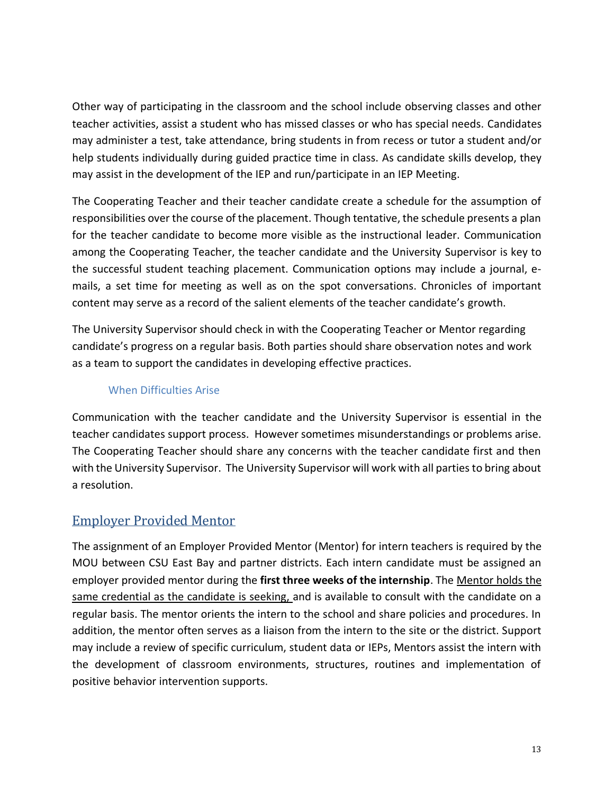Other way of participating in the classroom and the school include observing classes and other teacher activities, assist a student who has missed classes or who has special needs. Candidates may administer a test, take attendance, bring students in from recess or tutor a student and/or help students individually during guided practice time in class. As candidate skills develop, they may assist in the development of the IEP and run/participate in an IEP Meeting.

The Cooperating Teacher and their teacher candidate create a schedule for the assumption of responsibilities over the course of the placement. Though tentative, the schedule presents a plan for the teacher candidate to become more visible as the instructional leader. Communication among the Cooperating Teacher, the teacher candidate and the University Supervisor is key to the successful student teaching placement. Communication options may include a journal, emails, a set time for meeting as well as on the spot conversations. Chronicles of important content may serve as a record of the salient elements of the teacher candidate's growth.

The University Supervisor should check in with the Cooperating Teacher or Mentor regarding candidate's progress on a regular basis. Both parties should share observation notes and work as a team to support the candidates in developing effective practices.

## When Difficulties Arise

Communication with the teacher candidate and the University Supervisor is essential in the teacher candidates support process. However sometimes misunderstandings or problems arise. The Cooperating Teacher should share any concerns with the teacher candidate first and then with the University Supervisor. The University Supervisor will work with all parties to bring about a resolution.

# <span id="page-12-0"></span>Employer Provided Mentor

The assignment of an Employer Provided Mentor (Mentor) for intern teachers is required by the MOU between CSU East Bay and partner districts. Each intern candidate must be assigned an employer provided mentor during the **first three weeks of the internship**. The Mentor holds the same credential as the candidate is seeking, and is available to consult with the candidate on a regular basis. The mentor orients the intern to the school and share policies and procedures. In addition, the mentor often serves as a liaison from the intern to the site or the district. Support may include a review of specific curriculum, student data or IEPs, Mentors assist the intern with the development of classroom environments, structures, routines and implementation of positive behavior intervention supports.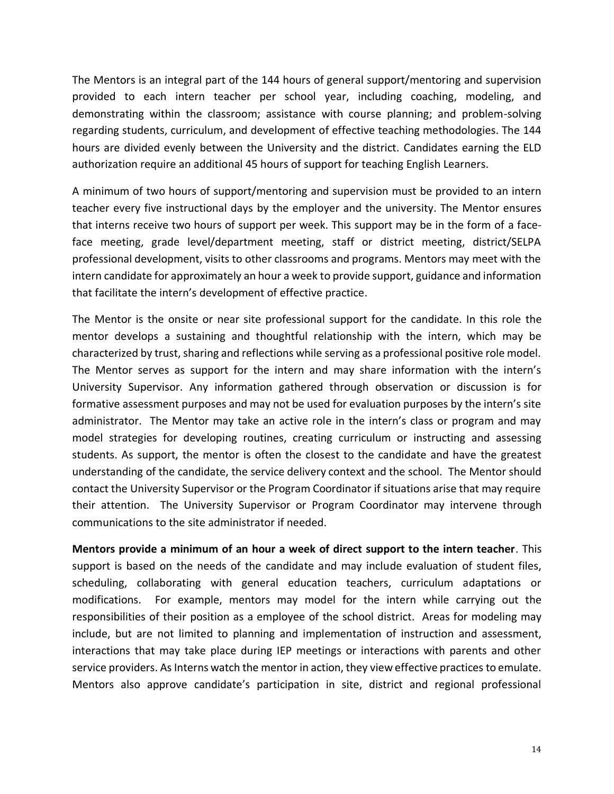The Mentors is an integral part of the 144 hours of general support/mentoring and supervision provided to each intern teacher per school year, including coaching, modeling, and demonstrating within the classroom; assistance with course planning; and problem-solving regarding students, curriculum, and development of effective teaching methodologies. The 144 hours are divided evenly between the University and the district. Candidates earning the ELD authorization require an additional 45 hours of support for teaching English Learners.

A minimum of two hours of support/mentoring and supervision must be provided to an intern teacher every five instructional days by the employer and the university. The Mentor ensures that interns receive two hours of support per week. This support may be in the form of a faceface meeting, grade level/department meeting, staff or district meeting, district/SELPA professional development, visits to other classrooms and programs. Mentors may meet with the intern candidate for approximately an hour a week to provide support, guidance and information that facilitate the intern's development of effective practice.

The Mentor is the onsite or near site professional support for the candidate. In this role the mentor develops a sustaining and thoughtful relationship with the intern, which may be characterized by trust, sharing and reflections while serving as a professional positive role model. The Mentor serves as support for the intern and may share information with the intern's University Supervisor. Any information gathered through observation or discussion is for formative assessment purposes and may not be used for evaluation purposes by the intern's site administrator. The Mentor may take an active role in the intern's class or program and may model strategies for developing routines, creating curriculum or instructing and assessing students. As support, the mentor is often the closest to the candidate and have the greatest understanding of the candidate, the service delivery context and the school. The Mentor should contact the University Supervisor or the Program Coordinator if situations arise that may require their attention. The University Supervisor or Program Coordinator may intervene through communications to the site administrator if needed.

**Mentors provide a minimum of an hour a week of direct support to the intern teacher**. This support is based on the needs of the candidate and may include evaluation of student files, scheduling, collaborating with general education teachers, curriculum adaptations or modifications. For example, mentors may model for the intern while carrying out the responsibilities of their position as a employee of the school district. Areas for modeling may include, but are not limited to planning and implementation of instruction and assessment, interactions that may take place during IEP meetings or interactions with parents and other service providers. As Interns watch the mentor in action, they view effective practices to emulate. Mentors also approve candidate's participation in site, district and regional professional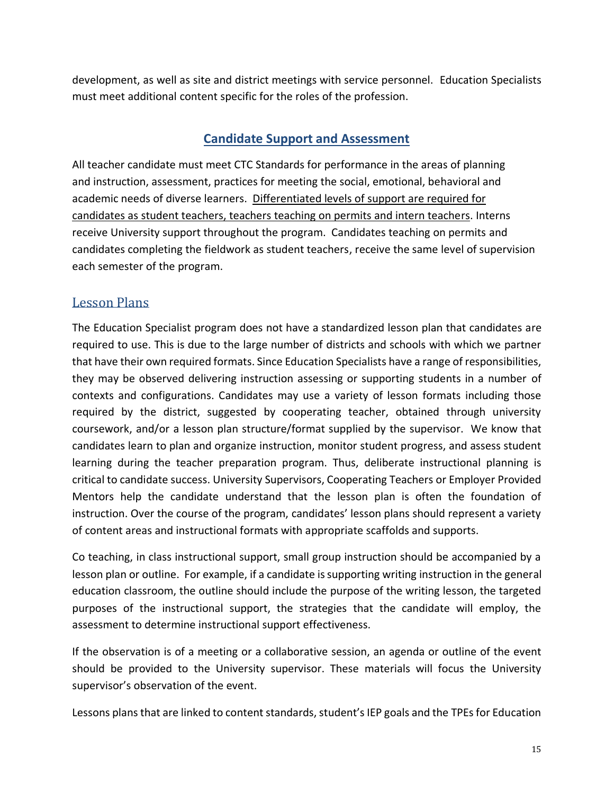<span id="page-14-0"></span>development, as well as site and district meetings with service personnel. Education Specialists must meet additional content specific for the roles of the profession.

# **Candidate Support and Assessment**

All teacher candidate must meet CTC Standards for performance in the areas of planning and instruction, assessment, practices for meeting the social, emotional, behavioral and academic needs of diverse learners. Differentiated levels of support are required for candidates as student teachers, teachers teaching on permits and intern teachers. Interns receive University support throughout the program. Candidates teaching on permits and candidates completing the fieldwork as student teachers, receive the same level of supervision each semester of the program.

# <span id="page-14-1"></span>Lesson Plans

The Education Specialist program does not have a standardized lesson plan that candidates are required to use. This is due to the large number of districts and schools with which we partner that have their own required formats. Since Education Specialists have a range of responsibilities, they may be observed delivering instruction assessing or supporting students in a number of contexts and configurations. Candidates may use a variety of lesson formats including those required by the district, suggested by cooperating teacher, obtained through university coursework, and/or a lesson plan structure/format supplied by the supervisor. We know that candidates learn to plan and organize instruction, monitor student progress, and assess student learning during the teacher preparation program. Thus, deliberate instructional planning is critical to candidate success. University Supervisors, Cooperating Teachers or Employer Provided Mentors help the candidate understand that the lesson plan is often the foundation of instruction. Over the course of the program, candidates' lesson plans should represent a variety of content areas and instructional formats with appropriate scaffolds and supports.

Co teaching, in class instructional support, small group instruction should be accompanied by a lesson plan or outline. For example, if a candidate is supporting writing instruction in the general education classroom, the outline should include the purpose of the writing lesson, the targeted purposes of the instructional support, the strategies that the candidate will employ, the assessment to determine instructional support effectiveness.

If the observation is of a meeting or a collaborative session, an agenda or outline of the event should be provided to the University supervisor. These materials will focus the University supervisor's observation of the event.

Lessons plans that are linked to content standards, student's IEP goals and the TPEs for Education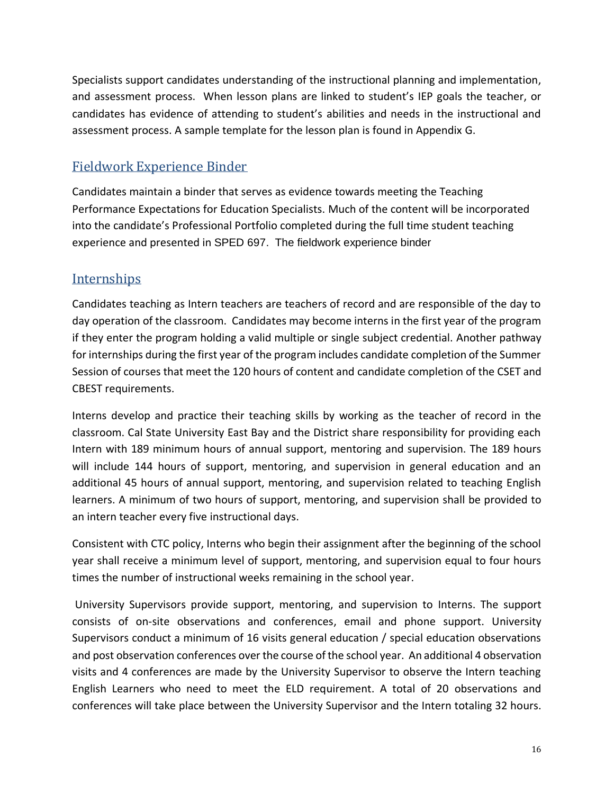Specialists support candidates understanding of the instructional planning and implementation, and assessment process. When lesson plans are linked to student's IEP goals the teacher, or candidates has evidence of attending to student's abilities and needs in the instructional and assessment process. A sample template for the lesson plan is found in Appendix G.

# <span id="page-15-0"></span>Fieldwork Experience Binder

Candidates maintain a binder that serves as evidence towards meeting the Teaching Performance Expectations for Education Specialists. Much of the content will be incorporated into the candidate's Professional Portfolio completed during the full time student teaching experience and presented in SPED 697. The fieldwork experience binder

# <span id="page-15-1"></span>**Internships**

Candidates teaching as Intern teachers are teachers of record and are responsible of the day to day operation of the classroom. Candidates may become interns in the first year of the program if they enter the program holding a valid multiple or single subject credential. Another pathway for internships during the first year of the program includes candidate completion of the Summer Session of courses that meet the 120 hours of content and candidate completion of the CSET and CBEST requirements.

Interns develop and practice their teaching skills by working as the teacher of record in the classroom. Cal State University East Bay and the District share responsibility for providing each Intern with 189 minimum hours of annual support, mentoring and supervision. The 189 hours will include 144 hours of support, mentoring, and supervision in general education and an additional 45 hours of annual support, mentoring, and supervision related to teaching English learners. A minimum of two hours of support, mentoring, and supervision shall be provided to an intern teacher every five instructional days.

Consistent with CTC policy, Interns who begin their assignment after the beginning of the school year shall receive a minimum level of support, mentoring, and supervision equal to four hours times the number of instructional weeks remaining in the school year.

University Supervisors provide support, mentoring, and supervision to Interns. The support consists of on-site observations and conferences, email and phone support. University Supervisors conduct a minimum of 16 visits general education / special education observations and post observation conferences over the course of the school year. An additional 4 observation visits and 4 conferences are made by the University Supervisor to observe the Intern teaching English Learners who need to meet the ELD requirement. A total of 20 observations and conferences will take place between the University Supervisor and the Intern totaling 32 hours.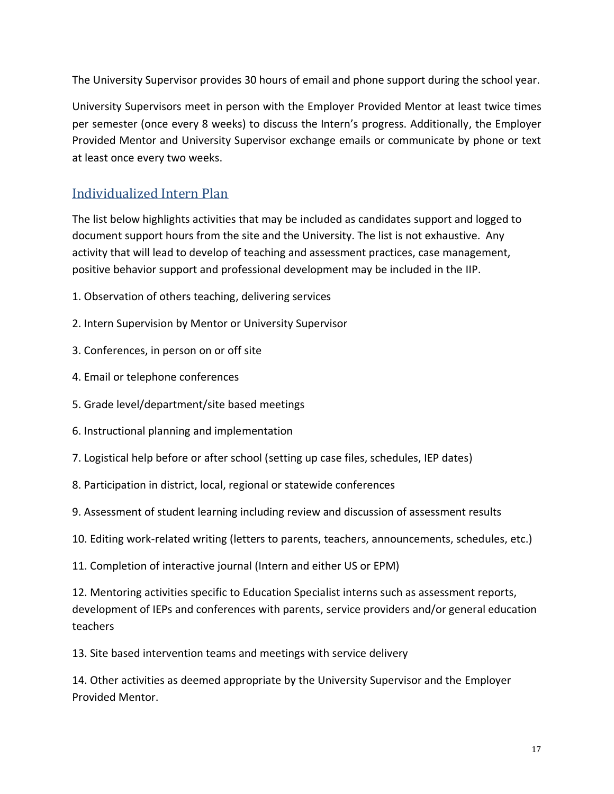The University Supervisor provides 30 hours of email and phone support during the school year.

University Supervisors meet in person with the Employer Provided Mentor at least twice times per semester (once every 8 weeks) to discuss the Intern's progress. Additionally, the Employer Provided Mentor and University Supervisor exchange emails or communicate by phone or text at least once every two weeks.

# <span id="page-16-0"></span>Individualized Intern Plan

The list below highlights activities that may be included as candidates support and logged to document support hours from the site and the University. The list is not exhaustive. Any activity that will lead to develop of teaching and assessment practices, case management, positive behavior support and professional development may be included in the IIP.

- 1. Observation of others teaching, delivering services
- 2. Intern Supervision by Mentor or University Supervisor
- 3. Conferences, in person on or off site
- 4. Email or telephone conferences
- 5. Grade level/department/site based meetings
- 6. Instructional planning and implementation
- 7. Logistical help before or after school (setting up case files, schedules, IEP dates)
- 8. Participation in district, local, regional or statewide conferences
- 9. Assessment of student learning including review and discussion of assessment results
- 10. Editing work-related writing (letters to parents, teachers, announcements, schedules, etc.)
- 11. Completion of interactive journal (Intern and either US or EPM)

12. Mentoring activities specific to Education Specialist interns such as assessment reports, development of IEPs and conferences with parents, service providers and/or general education teachers

13. Site based intervention teams and meetings with service delivery

14. Other activities as deemed appropriate by the University Supervisor and the Employer Provided Mentor.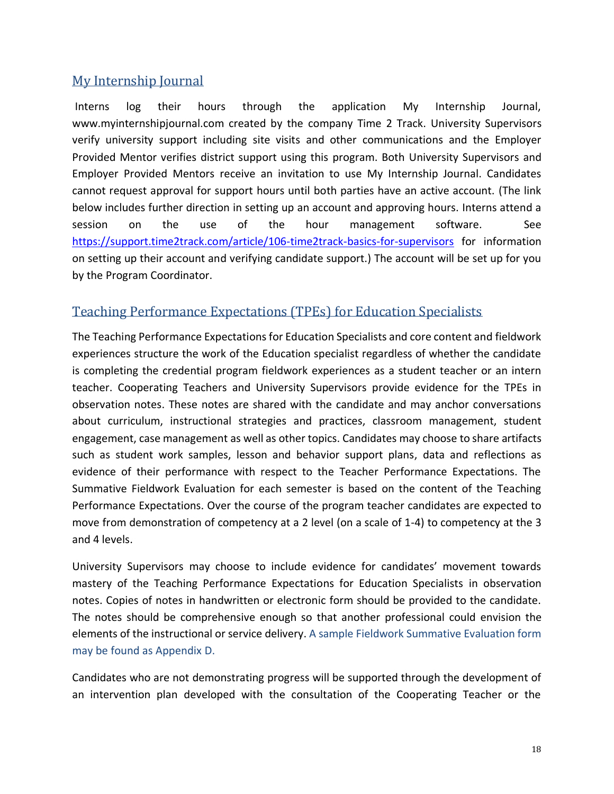# <span id="page-17-0"></span>My Internship Journal

Interns log their hours through the application My Internship Journal, www.myinternshipjournal.com created by the company Time 2 Track. University Supervisors verify university support including site visits and other communications and the Employer Provided Mentor verifies district support using this program. Both University Supervisors and Employer Provided Mentors receive an invitation to use My Internship Journal. Candidates cannot request approval for support hours until both parties have an active account. (The link below includes further direction in setting up an account and approving hours. Interns attend a session on the use of the hour management software. See <https://support.time2track.com/article/106-time2track-basics-for-supervisors> for information on setting up their account and verifying candidate support.) The account will be set up for you by the Program Coordinator.

# <span id="page-17-1"></span>Teaching Performance Expectations (TPEs) for Education Specialists

The Teaching Performance Expectations for Education Specialists and core content and fieldwork experiences structure the work of the Education specialist regardless of whether the candidate is completing the credential program fieldwork experiences as a student teacher or an intern teacher. Cooperating Teachers and University Supervisors provide evidence for the TPEs in observation notes. These notes are shared with the candidate and may anchor conversations about curriculum, instructional strategies and practices, classroom management, student engagement, case management as well as other topics. Candidates may choose to share artifacts such as student work samples, lesson and behavior support plans, data and reflections as evidence of their performance with respect to the Teacher Performance Expectations. The Summative Fieldwork Evaluation for each semester is based on the content of the Teaching Performance Expectations. Over the course of the program teacher candidates are expected to move from demonstration of competency at a 2 level (on a scale of 1-4) to competency at the 3 and 4 levels.

University Supervisors may choose to include evidence for candidates' movement towards mastery of the Teaching Performance Expectations for Education Specialists in observation notes. Copies of notes in handwritten or electronic form should be provided to the candidate. The notes should be comprehensive enough so that another professional could envision the elements of the instructional or service delivery. A sample Fieldwork Summative Evaluation form may be found as Appendix D.

Candidates who are not demonstrating progress will be supported through the development of an intervention plan developed with the consultation of the Cooperating Teacher or the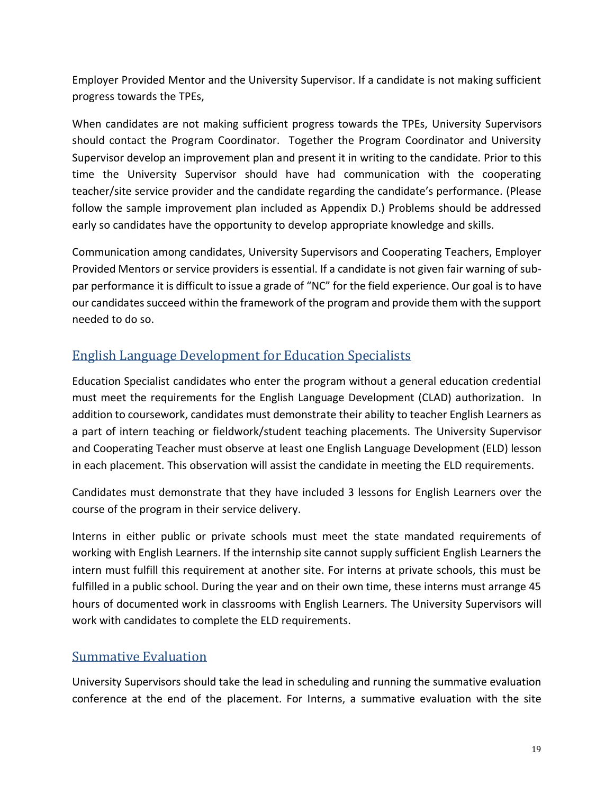Employer Provided Mentor and the University Supervisor. If a candidate is not making sufficient progress towards the TPEs,

When candidates are not making sufficient progress towards the TPEs, University Supervisors should contact the Program Coordinator. Together the Program Coordinator and University Supervisor develop an improvement plan and present it in writing to the candidate. Prior to this time the University Supervisor should have had communication with the cooperating teacher/site service provider and the candidate regarding the candidate's performance. (Please follow the sample improvement plan included as Appendix D.) Problems should be addressed early so candidates have the opportunity to develop appropriate knowledge and skills.

Communication among candidates, University Supervisors and Cooperating Teachers, Employer Provided Mentors or service providers is essential. If a candidate is not given fair warning of subpar performance it is difficult to issue a grade of "NC" for the field experience. Our goal is to have our candidates succeed within the framework of the program and provide them with the support needed to do so.

# <span id="page-18-0"></span>English Language Development for Education Specialists

Education Specialist candidates who enter the program without a general education credential must meet the requirements for the English Language Development (CLAD) authorization. In addition to coursework, candidates must demonstrate their ability to teacher English Learners as a part of intern teaching or fieldwork/student teaching placements. The University Supervisor and Cooperating Teacher must observe at least one English Language Development (ELD) lesson in each placement. This observation will assist the candidate in meeting the ELD requirements.

Candidates must demonstrate that they have included 3 lessons for English Learners over the course of the program in their service delivery.

Interns in either public or private schools must meet the state mandated requirements of working with English Learners. If the internship site cannot supply sufficient English Learners the intern must fulfill this requirement at another site. For interns at private schools, this must be fulfilled in a public school. During the year and on their own time, these interns must arrange 45 hours of documented work in classrooms with English Learners. The University Supervisors will work with candidates to complete the ELD requirements.

## <span id="page-18-1"></span>Summative Evaluation

University Supervisors should take the lead in scheduling and running the summative evaluation conference at the end of the placement. For Interns, a summative evaluation with the site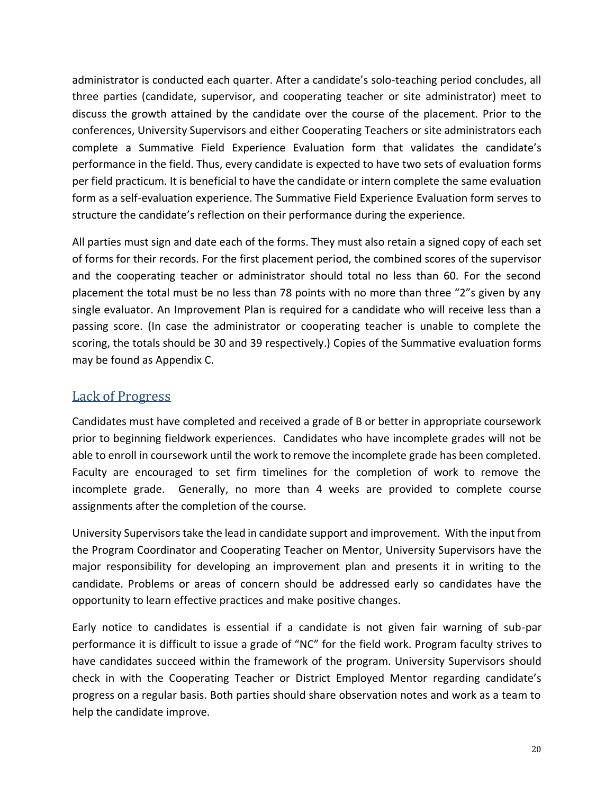administrator is conducted each quarter. After a candidate's solo-teaching period concludes, all three parties (candidate, supervisor, and cooperating teacher or site administrator) meet to discuss the growth attained by the candidate over the course of the placement. Prior to the conferences, University Supervisors and either Cooperating Teachers or site administrators each complete a Summative Field Experience Evaluation form that validates the candidate's performance in the field. Thus, every candidate is expected to have two sets of evaluation forms per field practicum. It is beneficial to have the candidate or intern complete the same evaluation form as a self-evaluation experience. The Summative Field Experience Evaluation form serves to structure the candidate's reflection on their performance during the experience.

All parties must sign and date each of the forms. They must also retain a signed copy of each set of forms for their records. For the first placement period, the combined scores of the supervisor and the cooperating teacher or administrator should total no less than 60. For the second placement the total must be no less than 78 points with no more than three "2"s given by any single evaluator. An Improvement Plan is required for a candidate who will receive less than a passing score. (In case the administrator or cooperating teacher is unable to complete the scoring, the totals should be 30 and 39 respectively.) Copies of the Summative evaluation forms may be found as Appendix C.

# <span id="page-19-0"></span>Lack of Progress

Candidates must have completed and received a grade of B or better in appropriate coursework prior to beginning fieldwork experiences. Candidates who have incomplete grades will not be able to enroll in coursework until the work to remove the incomplete grade has been completed. Faculty are encouraged to set firm timelines for the completion of work to remove the incomplete grade. Generally, no more than 4 weeks are provided to complete course assignments after the completion of the course.

University Supervisors take the lead in candidate support and improvement. With the input from the Program Coordinator and Cooperating Teacher on Mentor, University Supervisors have the major responsibility for developing an improvement plan and presents it in writing to the candidate. Problems or areas of concern should be addressed early so candidates have the opportunity to learn effective practices and make positive changes.

Early notice to candidates is essential if a candidate is not given fair warning of sub-par performance it is difficult to issue a grade of "NC" for the field work. Program faculty strives to have candidates succeed within the framework of the program. University Supervisors should check in with the Cooperating Teacher or District Employed Mentor regarding candidate's progress on a regular basis. Both parties should share observation notes and work as a team to help the candidate improve.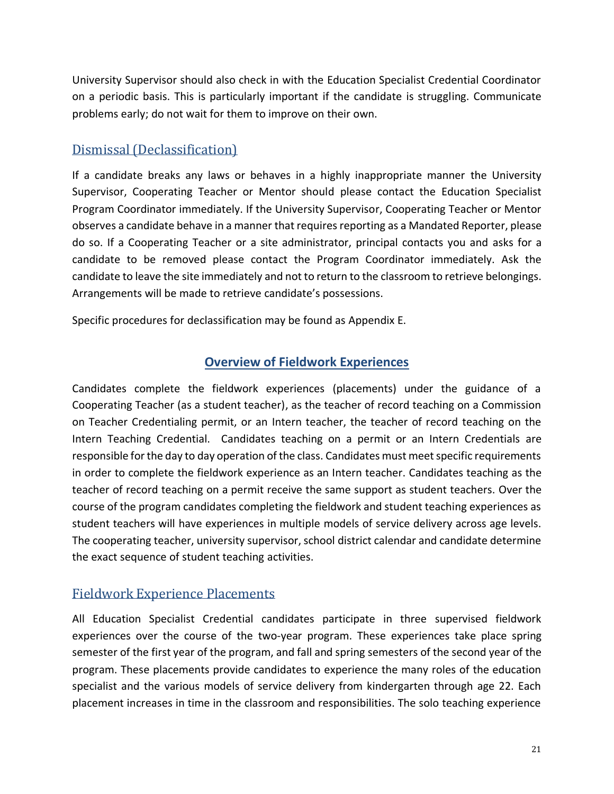University Supervisor should also check in with the Education Specialist Credential Coordinator on a periodic basis. This is particularly important if the candidate is struggling. Communicate problems early; do not wait for them to improve on their own.

# <span id="page-20-0"></span>Dismissal (Declassification)

If a candidate breaks any laws or behaves in a highly inappropriate manner the University Supervisor, Cooperating Teacher or Mentor should please contact the Education Specialist Program Coordinator immediately. If the University Supervisor, Cooperating Teacher or Mentor observes a candidate behave in a manner that requires reporting as a Mandated Reporter, please do so. If a Cooperating Teacher or a site administrator, principal contacts you and asks for a candidate to be removed please contact the Program Coordinator immediately. Ask the candidate to leave the site immediately and not to return to the classroom to retrieve belongings. Arrangements will be made to retrieve candidate's possessions.

<span id="page-20-1"></span>Specific procedures for declassification may be found as Appendix E.

# **Overview of Fieldwork Experiences**

Candidates complete the fieldwork experiences (placements) under the guidance of a Cooperating Teacher (as a student teacher), as the teacher of record teaching on a Commission on Teacher Credentialing permit, or an Intern teacher, the teacher of record teaching on the Intern Teaching Credential. Candidates teaching on a permit or an Intern Credentials are responsible for the day to day operation of the class. Candidates must meet specific requirements in order to complete the fieldwork experience as an Intern teacher. Candidates teaching as the teacher of record teaching on a permit receive the same support as student teachers. Over the course of the program candidates completing the fieldwork and student teaching experiences as student teachers will have experiences in multiple models of service delivery across age levels. The cooperating teacher, university supervisor, school district calendar and candidate determine the exact sequence of student teaching activities.

# <span id="page-20-2"></span>Fieldwork Experience Placements

All Education Specialist Credential candidates participate in three supervised fieldwork experiences over the course of the two-year program. These experiences take place spring semester of the first year of the program, and fall and spring semesters of the second year of the program. These placements provide candidates to experience the many roles of the education specialist and the various models of service delivery from kindergarten through age 22. Each placement increases in time in the classroom and responsibilities. The solo teaching experience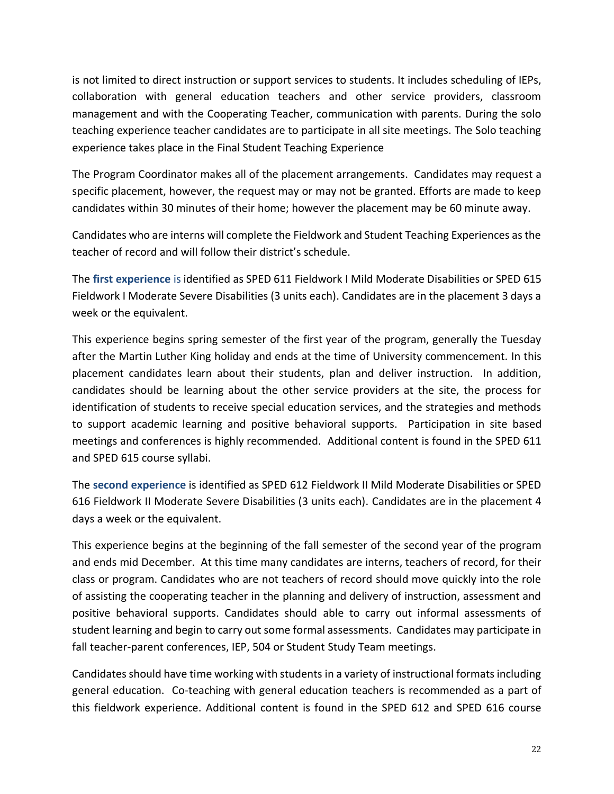is not limited to direct instruction or support services to students. It includes scheduling of IEPs, collaboration with general education teachers and other service providers, classroom management and with the Cooperating Teacher, communication with parents. During the solo teaching experience teacher candidates are to participate in all site meetings. The Solo teaching experience takes place in the Final Student Teaching Experience

The Program Coordinator makes all of the placement arrangements. Candidates may request a specific placement, however, the request may or may not be granted. Efforts are made to keep candidates within 30 minutes of their home; however the placement may be 60 minute away.

Candidates who are interns will complete the Fieldwork and Student Teaching Experiences as the teacher of record and will follow their district's schedule.

The **first experience** is identified as SPED 611 Fieldwork I Mild Moderate Disabilities or SPED 615 Fieldwork I Moderate Severe Disabilities (3 units each). Candidates are in the placement 3 days a week or the equivalent.

This experience begins spring semester of the first year of the program, generally the Tuesday after the Martin Luther King holiday and ends at the time of University commencement. In this placement candidates learn about their students, plan and deliver instruction. In addition, candidates should be learning about the other service providers at the site, the process for identification of students to receive special education services, and the strategies and methods to support academic learning and positive behavioral supports. Participation in site based meetings and conferences is highly recommended. Additional content is found in the SPED 611 and SPED 615 course syllabi.

The **second experience** is identified as SPED 612 Fieldwork II Mild Moderate Disabilities or SPED 616 Fieldwork II Moderate Severe Disabilities (3 units each). Candidates are in the placement 4 days a week or the equivalent.

This experience begins at the beginning of the fall semester of the second year of the program and ends mid December. At this time many candidates are interns, teachers of record, for their class or program. Candidates who are not teachers of record should move quickly into the role of assisting the cooperating teacher in the planning and delivery of instruction, assessment and positive behavioral supports. Candidates should able to carry out informal assessments of student learning and begin to carry out some formal assessments. Candidates may participate in fall teacher-parent conferences, IEP, 504 or Student Study Team meetings.

Candidates should have time working with students in a variety of instructional formats including general education. Co-teaching with general education teachers is recommended as a part of this fieldwork experience. Additional content is found in the SPED 612 and SPED 616 course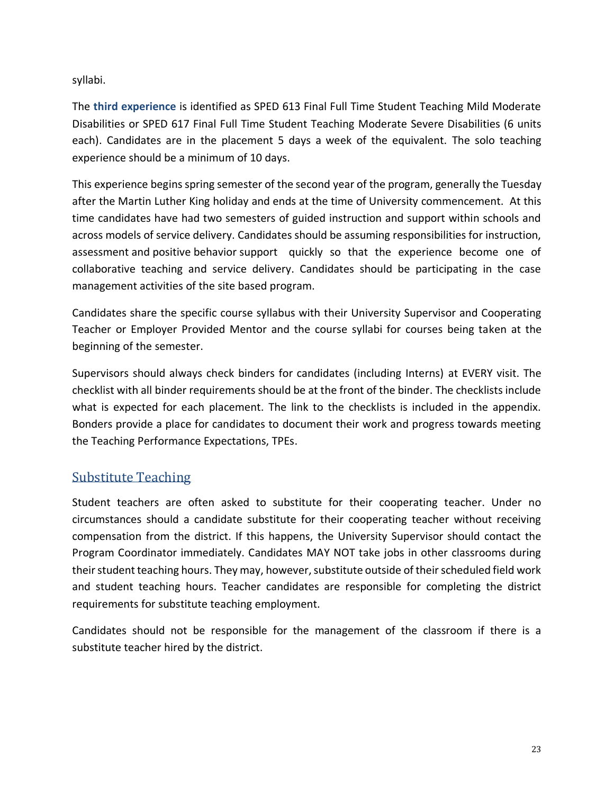syllabi.

The **third experience** is identified as SPED 613 Final Full Time Student Teaching Mild Moderate Disabilities or SPED 617 Final Full Time Student Teaching Moderate Severe Disabilities (6 units each). Candidates are in the placement 5 days a week of the equivalent. The solo teaching experience should be a minimum of 10 days.

This experience begins spring semester of the second year of the program, generally the Tuesday after the Martin Luther King holiday and ends at the time of University commencement. At this time candidates have had two semesters of guided instruction and support within schools and across models of service delivery. Candidates should be assuming responsibilities for instruction, assessment and positive behavior support quickly so that the experience become one of collaborative teaching and service delivery. Candidates should be participating in the case management activities of the site based program.

Candidates share the specific course syllabus with their University Supervisor and Cooperating Teacher or Employer Provided Mentor and the course syllabi for courses being taken at the beginning of the semester.

Supervisors should always check binders for candidates (including Interns) at EVERY visit. The checklist with all binder requirements should be at the front of the binder. The checklists include what is expected for each placement. The link to the checklists is included in the appendix. Bonders provide a place for candidates to document their work and progress towards meeting the Teaching Performance Expectations, TPEs.

## <span id="page-22-0"></span>Substitute Teaching

Student teachers are often asked to substitute for their cooperating teacher. Under no circumstances should a candidate substitute for their cooperating teacher without receiving compensation from the district. If this happens, the University Supervisor should contact the Program Coordinator immediately. Candidates MAY NOT take jobs in other classrooms during their student teaching hours. They may, however, substitute outside of their scheduled field work and student teaching hours. Teacher candidates are responsible for completing the district requirements for substitute teaching employment.

Candidates should not be responsible for the management of the classroom if there is a substitute teacher hired by the district.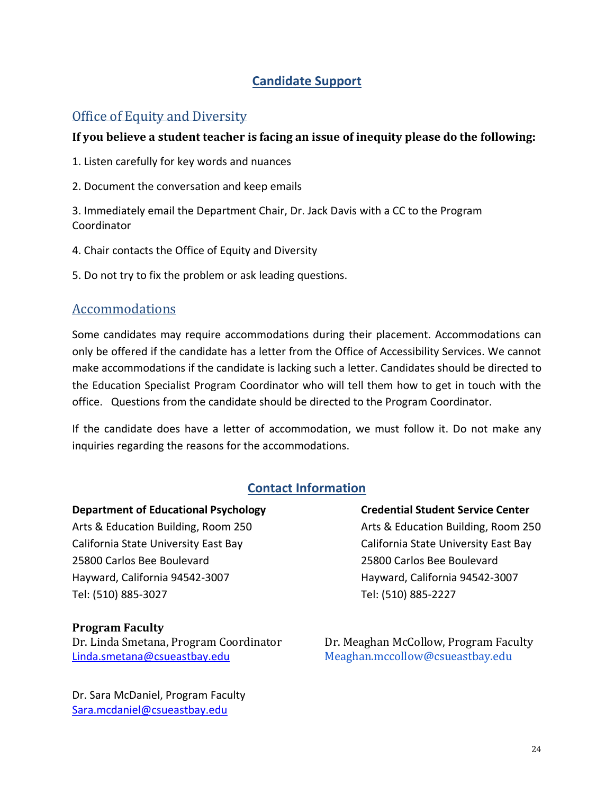# **Candidate Support**

# <span id="page-23-1"></span><span id="page-23-0"></span>Office of Equity and Diversity

## **If you believe a student teacher is facing an issue of inequity please do the following:**

- 1. Listen carefully for key words and nuances
- 2. Document the conversation and keep emails

3. Immediately email the Department Chair, Dr. Jack Davis with a CC to the Program Coordinator

- 4. Chair contacts the Office of Equity and Diversity
- 5. Do not try to fix the problem or ask leading questions.

## <span id="page-23-2"></span>Accommodations

Some candidates may require accommodations during their placement. Accommodations can only be offered if the candidate has a letter from the Office of Accessibility Services. We cannot make accommodations if the candidate is lacking such a letter. Candidates should be directed to the Education Specialist Program Coordinator who will tell them how to get in touch with the office. Questions from the candidate should be directed to the Program Coordinator.

If the candidate does have a letter of accommodation, we must follow it. Do not make any inquiries regarding the reasons for the accommodations.

# **Contact Information**

#### <span id="page-23-3"></span>**Department of Educational Psychology Credential Student Service Center**

Arts & Education Building, Room 250 Arts & Education Building, Room 250 California State University East Bay California State University East Bay 25800 Carlos Bee Boulevard 25800 Carlos Bee Boulevard Hayward, California 94542-3007 Hayward, California 94542-3007 Tel: (510) 885-3027 Tel: (510) 885-2227

### **Program Faculty**

Dr. Linda Smetana, Program Coordinator Dr. Meaghan McCollow, Program Faculty [Linda.smetana@csueastbay.edu](mailto:Linda.smetana@csueastbay.edu) Meaghan.mccollow@csueastbay.edu

Dr. Sara McDaniel, Program Faculty [Sara.mcdaniel@csueastbay.edu](mailto:Sara.mcdaniel@csueastbay.edu)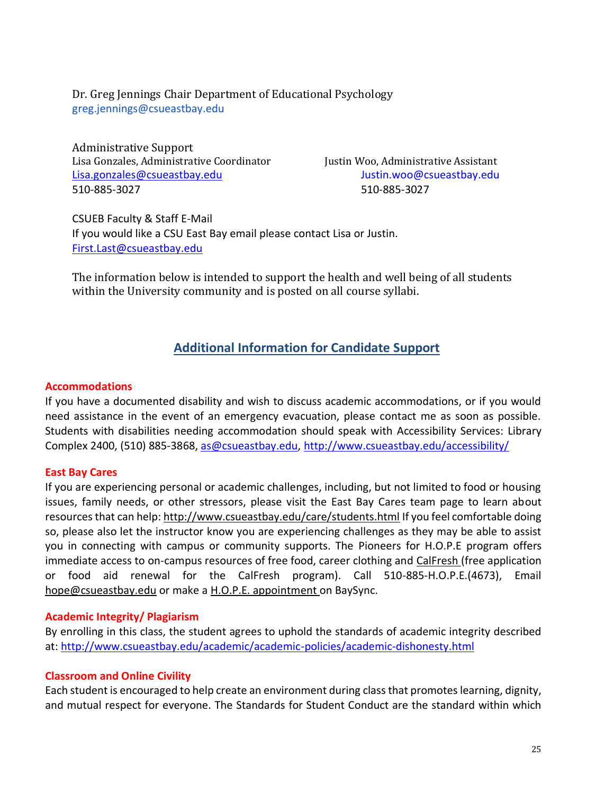Dr. Greg Jennings Chair Department of Educational Psychology greg.jennings@csueastbay.edu

Administrative Support Lisa Gonzales, Administrative Coordinator Justin Woo, Administrative Assistant [Lisa.gonzales@csueastbay.edu](mailto:Lisa.gonzales@csueastbay.edu) Justin.woo@csueastbay.edu 510-885-3027 510-885-3027

CSUEB Faculty & Staff E-Mail If you would like a CSU East Bay email please contact Lisa or Justin. [First.Last@csueastbay.edu](mailto:First.Last@csueastbay.edu)

<span id="page-24-0"></span>The information below is intended to support the health and well being of all students within the University community and is posted on all course syllabi.

## **Additional Information for Candidate Support**

#### **Accommodations**

If you have a documented disability and wish to discuss academic accommodations, or if you would need assistance in the event of an emergency evacuation, please contact me as soon as possible. Students with disabilities needing accommodation should speak with Accessibility Services: Library Complex 2400, (510) 885-3868, [as@csueastbay.edu,](mailto:as@csueastbay.edu)<http://www.csueastbay.edu/accessibility/>

#### **East Bay Cares**

If you are experiencing personal or academic challenges, including, but not limited to food or housing issues, family needs, or other stressors, please visit the East Bay Cares team page to learn about resources that can help:<http://www.csueastbay.edu/care/students.html> If you feel comfortable doing so, please also let the instructor know you are experiencing challenges as they may be able to assist you in connecting with campus or community supports. The Pioneers for H.O.P.E program offers immediate access to on-campus resources of free food, career clothing and [CalFresh \(](http://www.csueastbay.edu/calfresh/)free application or food aid renewal for the CalFresh program). Call 510-885-H.O.P.E.(4673), Email [hope@csueastbay.edu](mailto:hope@csueastbay.edu) or make a [H.O.P.E. appointment o](https://orgsync.com/146295/chapter)n BaySync.

#### **Academic Integrity/ Plagiarism**

By enrolling in this class, the student agrees to uphold the standards of academic integrity described at[: http://www.csueastbay.edu/academic/academic-policies/academic-dishonesty.html](http://www.csueastbay.edu/academic/academic-policies/academic-dishonesty.html)

#### **Classroom and Online Civility**

Each student is encouraged to help create an environment during class that promotes learning, dignity, and mutual respect for everyone. The Standards for Student Conduct are the standard within which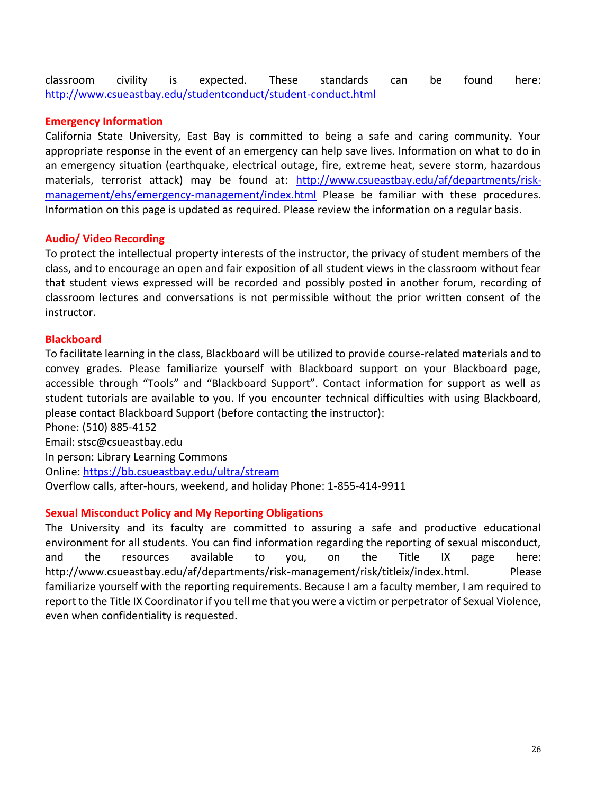classroom civility is expected. These standards can be found here: <http://www.csueastbay.edu/studentconduct/student-conduct.html>

#### **Emergency Information**

California State University, East Bay is committed to being a safe and caring community. Your appropriate response in the event of an emergency can help save lives. Information on what to do in an emergency situation (earthquake, electrical outage, fire, extreme heat, severe storm, hazardous materials, terrorist attack) may be found at: [http://www.csueastbay.edu/af/departments/risk](http://www.csueastbay.edu/af/departments/risk-management/ehs/emergency-management/index.html)[management/ehs/emergency-management/index.html](http://www.csueastbay.edu/af/departments/risk-management/ehs/emergency-management/index.html) Please be familiar with these procedures. Information on this page is updated as required. Please review the information on a regular basis.

#### **Audio/ Video Recording**

To protect the intellectual property interests of the instructor, the privacy of student members of the class, and to encourage an open and fair exposition of all student views in the classroom without fear that student views expressed will be recorded and possibly posted in another forum, recording of classroom lectures and conversations is not permissible without the prior written consent of the instructor.

#### **Blackboard**

To facilitate learning in the class, Blackboard will be utilized to provide course-related materials and to convey grades. Please familiarize yourself with Blackboard support on your Blackboard page, accessible through "Tools" and "Blackboard Support". Contact information for support as well as student tutorials are available to you. If you encounter technical difficulties with using Blackboard, please contact Blackboard Support (before contacting the instructor): Phone: (510) 885-4152 Email: stsc@csueastbay.edu

In person: Library Learning Commons Online:<https://bb.csueastbay.edu/ultra/stream> Overflow calls, after-hours, weekend, and holiday Phone: 1-855-414-9911

### **Sexual Misconduct Policy and My Reporting Obligations**

The University and its faculty are committed to assuring a safe and productive educational environment for all students. You can find information regarding the reporting of sexual misconduct, and the resources available to you, on the Title IX page here: http://www.csueastbay.edu/af/departments/risk-management/risk/titleix/index.html. Please familiarize yourself with the reporting requirements. Because I am a faculty member, I am required to report to the Title IX Coordinator if you tell me that you were a victim or perpetrator of Sexual Violence, even when confidentiality is requested.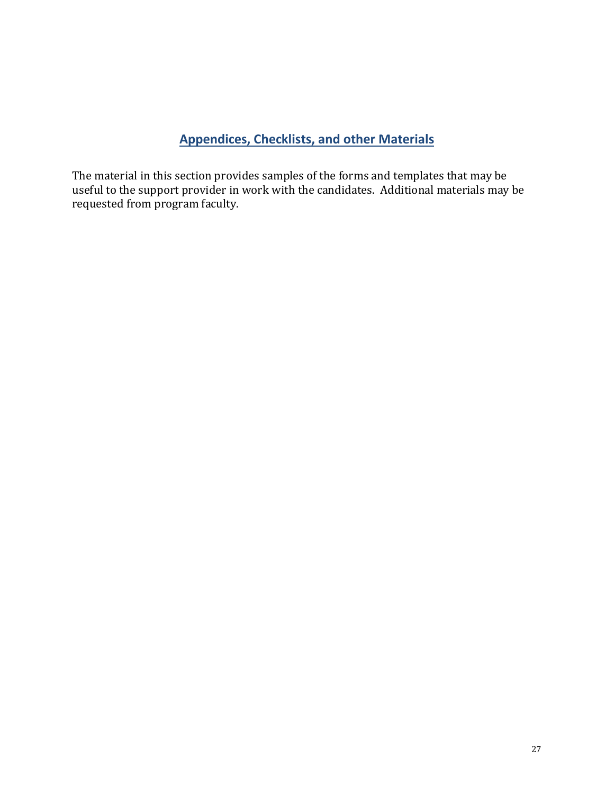# **Appendices, Checklists, and other Materials**

<span id="page-26-0"></span>The material in this section provides samples of the forms and templates that may be useful to the support provider in work with the candidates. Additional materials may be requested from program faculty.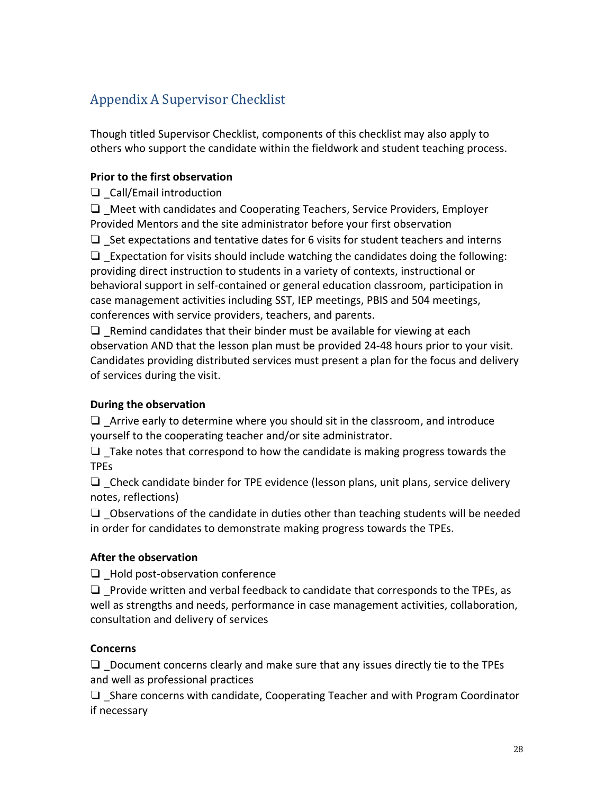# <span id="page-27-0"></span>Appendix A Supervisor Checklist

Though titled Supervisor Checklist, components of this checklist may also apply to others who support the candidate within the fieldwork and student teaching process.

## **Prior to the first observation**

❏ \_Call/Email introduction

❏ \_Meet with candidates and Cooperating Teachers, Service Providers, Employer Provided Mentors and the site administrator before your first observation

 $\Box$  Set expectations and tentative dates for 6 visits for student teachers and interns

 $\Box$  Expectation for visits should include watching the candidates doing the following: providing direct instruction to students in a variety of contexts, instructional or behavioral support in self-contained or general education classroom, participation in case management activities including SST, IEP meetings, PBIS and 504 meetings, conferences with service providers, teachers, and parents.

 $\Box$  Remind candidates that their binder must be available for viewing at each observation AND that the lesson plan must be provided 24-48 hours prior to your visit. Candidates providing distributed services must present a plan for the focus and delivery of services during the visit.

## **During the observation**

 $\Box$  Arrive early to determine where you should sit in the classroom, and introduce yourself to the cooperating teacher and/or site administrator.

 $\Box$  Take notes that correspond to how the candidate is making progress towards the TPEs

 $\Box$  Check candidate binder for TPE evidence (lesson plans, unit plans, service delivery notes, reflections)

 $\Box$  Observations of the candidate in duties other than teaching students will be needed in order for candidates to demonstrate making progress towards the TPEs.

## **After the observation**

❏ \_Hold post-observation conference

 $\Box$  Provide written and verbal feedback to candidate that corresponds to the TPEs, as well as strengths and needs, performance in case management activities, collaboration, consultation and delivery of services

### **Concerns**

 $\Box$  \_Document concerns clearly and make sure that any issues directly tie to the TPEs and well as professional practices

 $\Box$  Share concerns with candidate, Cooperating Teacher and with Program Coordinator if necessary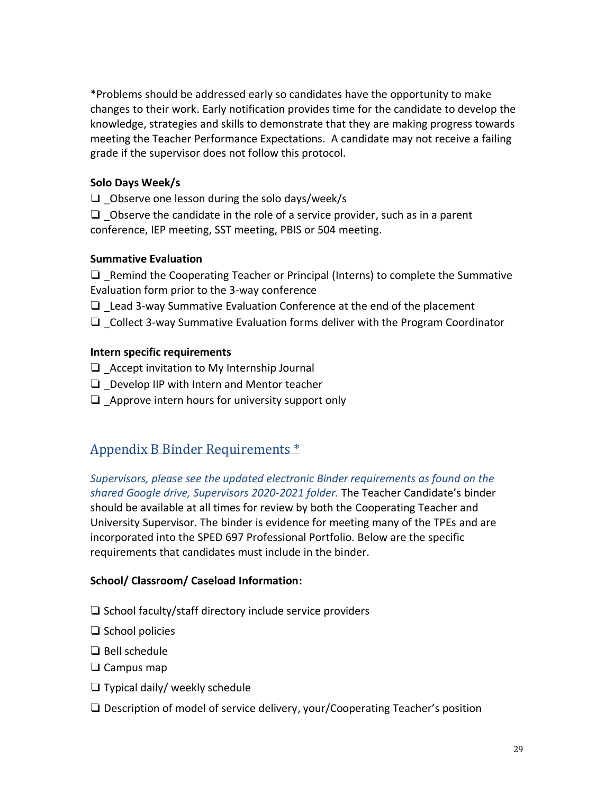\*Problems should be addressed early so candidates have the opportunity to make changes to their work. Early notification provides time for the candidate to develop the knowledge, strategies and skills to demonstrate that they are making progress towards meeting the Teacher Performance Expectations. A candidate may not receive a failing grade if the supervisor does not follow this protocol.

## **Solo Days Week/s**

 $\Box$  Observe one lesson during the solo days/week/s

 $\Box$  Observe the candidate in the role of a service provider, such as in a parent conference, IEP meeting, SST meeting, PBIS or 504 meeting.

## **Summative Evaluation**

 $\Box$  Remind the Cooperating Teacher or Principal (Interns) to complete the Summative Evaluation form prior to the 3-way conference

- $\Box$  Lead 3-way Summative Evaluation Conference at the end of the placement
- ❏ \_Collect 3-way Summative Evaluation forms deliver with the Program Coordinator

## **Intern specific requirements**

- $\Box$  Accept invitation to My Internship Journal
- $\Box$  Develop IIP with Intern and Mentor teacher
- $\Box$  Approve intern hours for university support only

# <span id="page-28-0"></span>Appendix B Binder Requirements \*

*Supervisors, please see the updated electronic Binder requirements as found on the shared Google drive, Supervisors 2020-2021 folder.* The Teacher Candidate's binder should be available at all times for review by both the Cooperating Teacher and University Supervisor. The binder is evidence for meeting many of the TPEs and are incorporated into the SPED 697 Professional Portfolio. Below are the specific requirements that candidates must include in the binder.

## **School/ Classroom/ Caseload Information:**

- ❏ School faculty/staff directory include service providers
- ❏ School policies
- ❏ Bell schedule
- ❏ Campus map
- ❏ Typical daily/ weekly schedule
- ❏ Description of model of service delivery, your/Cooperating Teacher's position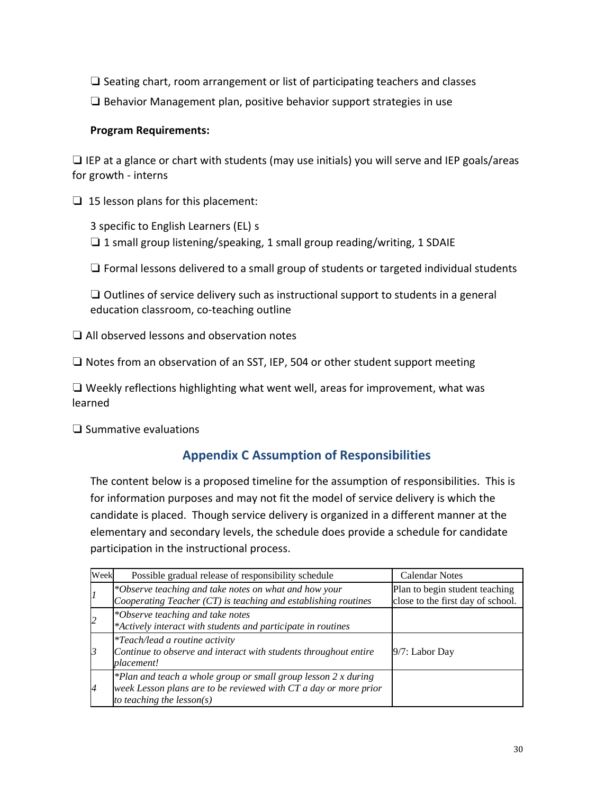❏ Seating chart, room arrangement or list of participating teachers and classes

❏ Behavior Management plan, positive behavior support strategies in use

## **Program Requirements:**

 $\Box$  IEP at a glance or chart with students (may use initials) you will serve and IEP goals/areas for growth - interns

❏ 15 lesson plans for this placement:

3 specific to English Learners (EL) s ❏ 1 small group listening/speaking, 1 small group reading/writing, 1 SDAIE

❏ Formal lessons delivered to a small group of students or targeted individual students

❏ Outlines of service delivery such as instructional support to students in a general education classroom, co-teaching outline

❏ All observed lessons and observation notes

❏ Notes from an observation of an SST, IEP, 504 or other student support meeting

❏ Weekly reflections highlighting what went well, areas for improvement, what was learned

❏ Summative evaluations

# **Appendix C Assumption of Responsibilities**

The content below is a proposed timeline for the assumption of responsibilities. This is for information purposes and may not fit the model of service delivery is which the candidate is placed. Though service delivery is organized in a different manner at the elementary and secondary levels, the schedule does provide a schedule for candidate participation in the instructional process.

| Week           | Possible gradual release of responsibility schedule                                                                                                                | <b>Calendar Notes</b>                                               |
|----------------|--------------------------------------------------------------------------------------------------------------------------------------------------------------------|---------------------------------------------------------------------|
|                | *Observe teaching and take notes on what and how your<br>Cooperating Teacher $(T)$ is teaching and establishing routines                                           | Plan to begin student teaching<br>close to the first day of school. |
|                | *Observe teaching and take notes<br>*Actively interact with students and participate in routines                                                                   |                                                                     |
| 13             | <i>*Teach/lead a routine activity</i><br>Continue to observe and interact with students throughout entire<br><i>placement!</i>                                     | $9/7$ : Labor Day                                                   |
| $\overline{A}$ | *Plan and teach a whole group or small group lesson $2x$ during<br>week Lesson plans are to be reviewed with CT a day or more prior<br>to teaching the $lesson(s)$ |                                                                     |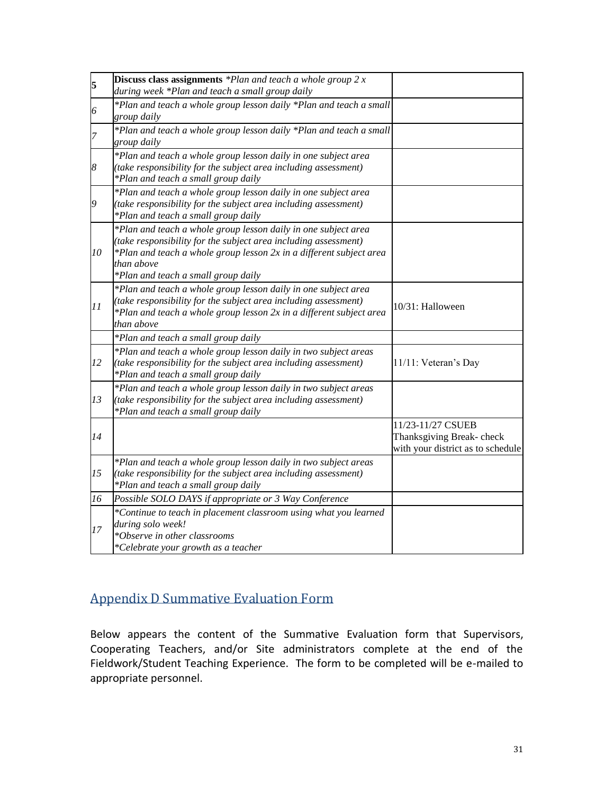| 5  | <b>Discuss class assignments</b> $*Plan$ and teach a whole group $2x$<br>during week *Plan and teach a small group daily                                                                                                                                      |                                                                                    |
|----|---------------------------------------------------------------------------------------------------------------------------------------------------------------------------------------------------------------------------------------------------------------|------------------------------------------------------------------------------------|
| 6  | *Plan and teach a whole group lesson daily *Plan and teach a small<br>group daily                                                                                                                                                                             |                                                                                    |
| 7  | *Plan and teach a whole group lesson daily *Plan and teach a small<br>group daily                                                                                                                                                                             |                                                                                    |
| 8  | *Plan and teach a whole group lesson daily in one subject area<br>(take responsibility for the subject area including assessment)<br>*Plan and teach a small group daily                                                                                      |                                                                                    |
| 9  | *Plan and teach a whole group lesson daily in one subject area<br>(take responsibility for the subject area including assessment)<br>*Plan and teach a small group daily                                                                                      |                                                                                    |
| 10 | *Plan and teach a whole group lesson daily in one subject area<br>(take responsibility for the subject area including assessment)<br>*Plan and teach a whole group lesson 2x in a different subject area<br>than above<br>*Plan and teach a small group daily |                                                                                    |
| 11 | *Plan and teach a whole group lesson daily in one subject area<br>(take responsibility for the subject area including assessment)<br>*Plan and teach a whole group lesson 2x in a different subject area<br>than above                                        | 10/31: Halloween                                                                   |
|    | *Plan and teach a small group daily                                                                                                                                                                                                                           |                                                                                    |
| 12 | *Plan and teach a whole group lesson daily in two subject areas<br>(take responsibility for the subject area including assessment)<br>*Plan and teach a small group daily                                                                                     | 11/11: Veteran's Day                                                               |
| 13 | *Plan and teach a whole group lesson daily in two subject areas<br>(take responsibility for the subject area including assessment)<br>*Plan and teach a small group daily                                                                                     |                                                                                    |
| 14 |                                                                                                                                                                                                                                                               | 11/23-11/27 CSUEB<br>Thanksgiving Break-check<br>with your district as to schedule |
| 15 | *Plan and teach a whole group lesson daily in two subject areas<br>(take responsibility for the subject area including assessment)<br>*Plan and teach a small group daily                                                                                     |                                                                                    |
| 16 | Possible SOLO DAYS if appropriate or 3 Way Conference                                                                                                                                                                                                         |                                                                                    |
| 17 | *Continue to teach in placement classroom using what you learned<br>during solo week!<br>*Observe in other classrooms<br>*Celebrate your growth as a teacher                                                                                                  |                                                                                    |

# <span id="page-30-0"></span>Appendix D Summative Evaluation Form

Below appears the content of the Summative Evaluation form that Supervisors, Cooperating Teachers, and/or Site administrators complete at the end of the Fieldwork/Student Teaching Experience. The form to be completed will be e-mailed to appropriate personnel.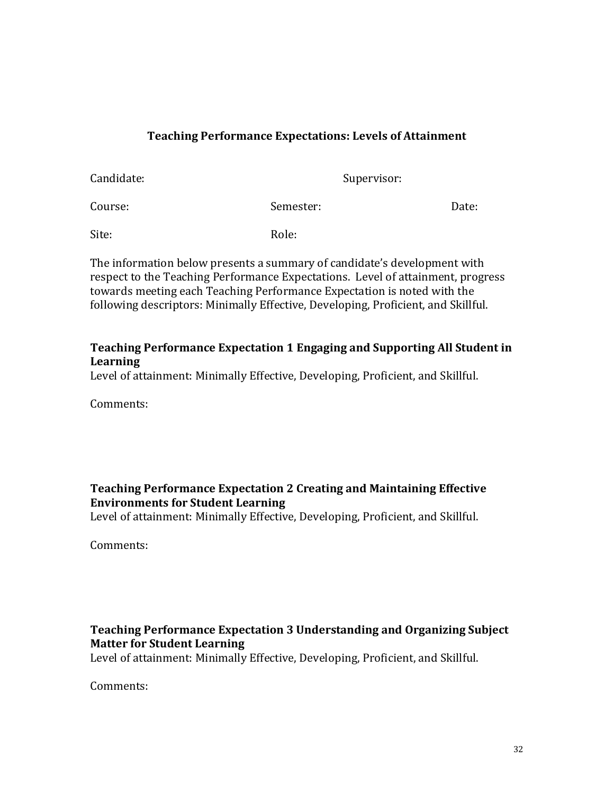## **Teaching Performance Expectations: Levels of Attainment**

| Candidate: |           | Supervisor: |  |  |
|------------|-----------|-------------|--|--|
| Course:    | Semester: | Date:       |  |  |
| Site:      | Role:     |             |  |  |

The information below presents a summary of candidate's development with respect to the Teaching Performance Expectations. Level of attainment, progress towards meeting each Teaching Performance Expectation is noted with the following descriptors: Minimally Effective, Developing, Proficient, and Skillful.

## **Teaching Performance Expectation 1 Engaging and Supporting All Student in Learning**

Level of attainment: Minimally Effective, Developing, Proficient, and Skillful.

Comments:

## **Teaching Performance Expectation 2 Creating and Maintaining Effective Environments for Student Learning**

Level of attainment: Minimally Effective, Developing, Proficient, and Skillful.

Comments:

# **Teaching Performance Expectation 3 Understanding and Organizing Subject Matter for Student Learning**

Level of attainment: Minimally Effective, Developing, Proficient, and Skillful.

Comments: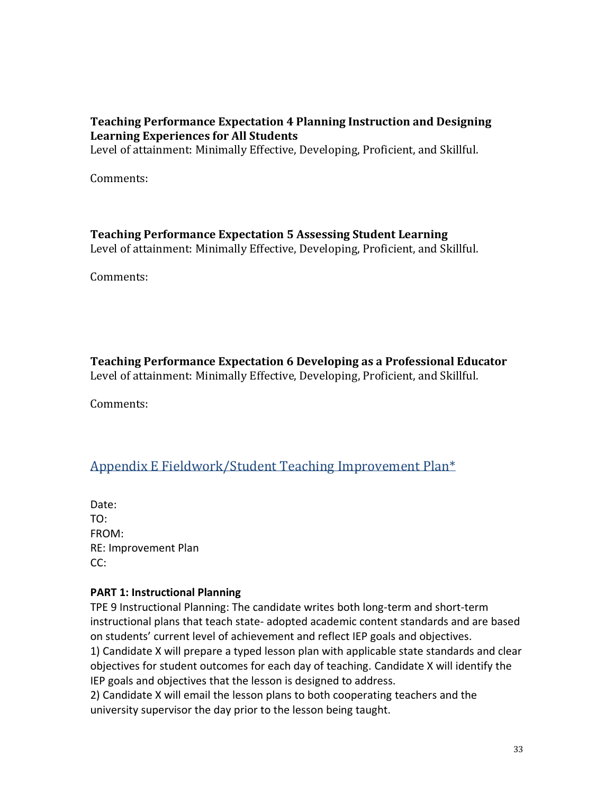## **Teaching Performance Expectation 4 Planning Instruction and Designing Learning Experiences for All Students**

Level of attainment: Minimally Effective, Developing, Proficient, and Skillful.

Comments:

### **Teaching Performance Expectation 5 Assessing Student Learning**

Level of attainment: Minimally Effective, Developing, Proficient, and Skillful.

Comments:

**Teaching Performance Expectation 6 Developing as a Professional Educator** Level of attainment: Minimally Effective, Developing, Proficient, and Skillful.

Comments:

# <span id="page-32-0"></span>Appendix E Fieldwork/Student Teaching Improvement Plan\*

Date: TO: FROM: RE: Improvement Plan CC:

### **PART 1: Instructional Planning**

TPE 9 Instructional Planning: The candidate writes both long-term and short-term instructional plans that teach state- adopted academic content standards and are based on students' current level of achievement and reflect IEP goals and objectives.

1) Candidate X will prepare a typed lesson plan with applicable state standards and clear objectives for student outcomes for each day of teaching. Candidate X will identify the IEP goals and objectives that the lesson is designed to address.

2) Candidate X will email the lesson plans to both cooperating teachers and the university supervisor the day prior to the lesson being taught.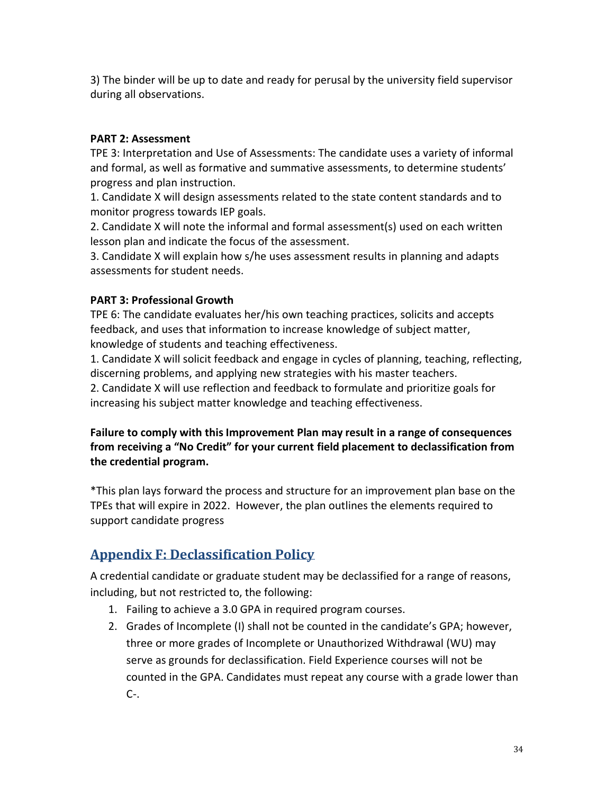3) The binder will be up to date and ready for perusal by the university field supervisor during all observations.

## **PART 2: Assessment**

TPE 3: Interpretation and Use of Assessments: The candidate uses a variety of informal and formal, as well as formative and summative assessments, to determine students' progress and plan instruction.

1. Candidate X will design assessments related to the state content standards and to monitor progress towards IEP goals.

2. Candidate X will note the informal and formal assessment(s) used on each written lesson plan and indicate the focus of the assessment.

3. Candidate X will explain how s/he uses assessment results in planning and adapts assessments for student needs.

## **PART 3: Professional Growth**

TPE 6: The candidate evaluates her/his own teaching practices, solicits and accepts feedback, and uses that information to increase knowledge of subject matter, knowledge of students and teaching effectiveness.

1. Candidate X will solicit feedback and engage in cycles of planning, teaching, reflecting, discerning problems, and applying new strategies with his master teachers.

2. Candidate X will use reflection and feedback to formulate and prioritize goals for increasing his subject matter knowledge and teaching effectiveness.

## **Failure to comply with this Improvement Plan may result in a range of consequences from receiving a "No Credit" for your current field placement to declassification from the credential program.**

\*This plan lays forward the process and structure for an improvement plan base on the TPEs that will expire in 2022. However, the plan outlines the elements required to support candidate progress

# <span id="page-33-0"></span>**Appendix F: Declassification Policy**

A credential candidate or graduate student may be declassified for a range of reasons, including, but not restricted to, the following:

- 1. Failing to achieve a 3.0 GPA in required program courses.
- 2. Grades of Incomplete (I) shall not be counted in the candidate's GPA; however, three or more grades of Incomplete or Unauthorized Withdrawal (WU) may serve as grounds for declassification. Field Experience courses will not be counted in the GPA. Candidates must repeat any course with a grade lower than  $C-$ .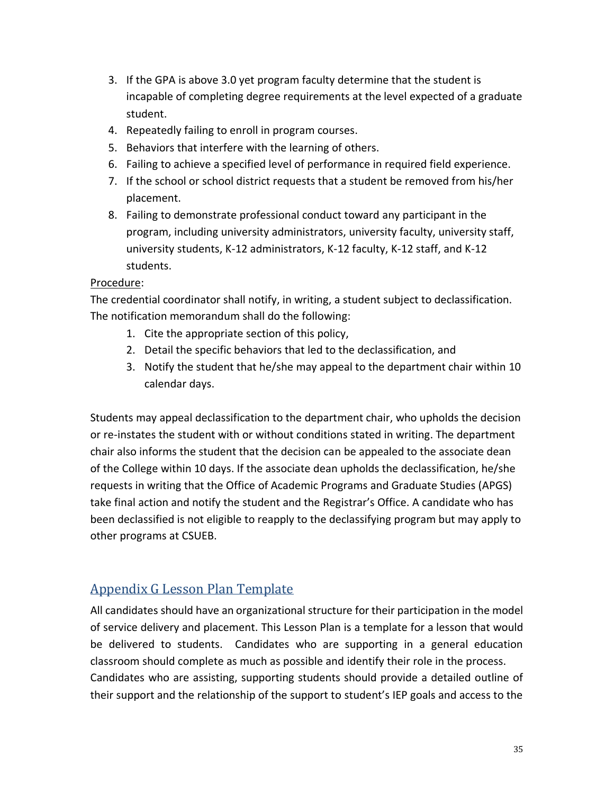- 3. If the GPA is above 3.0 yet program faculty determine that the student is incapable of completing degree requirements at the level expected of a graduate student.
- 4. Repeatedly failing to enroll in program courses.
- 5. Behaviors that interfere with the learning of others.
- 6. Failing to achieve a specified level of performance in required field experience.
- 7. If the school or school district requests that a student be removed from his/her placement.
- 8. Failing to demonstrate professional conduct toward any participant in the program, including university administrators, university faculty, university staff, university students, K-12 administrators, K-12 faculty, K-12 staff, and K-12 students.

### Procedure:

The credential coordinator shall notify, in writing, a student subject to declassification. The notification memorandum shall do the following:

- 1. Cite the appropriate section of this policy,
- 2. Detail the specific behaviors that led to the declassification, and
- 3. Notify the student that he/she may appeal to the department chair within 10 calendar days.

Students may appeal declassification to the department chair, who upholds the decision or re-instates the student with or without conditions stated in writing. The department chair also informs the student that the decision can be appealed to the associate dean of the College within 10 days. If the associate dean upholds the declassification, he/she requests in writing that the Office of Academic Programs and Graduate Studies (APGS) take final action and notify the student and the Registrar's Office. A candidate who has been declassified is not eligible to reapply to the declassifying program but may apply to other programs at CSUEB.

# <span id="page-34-0"></span>Appendix G Lesson Plan Template

All candidates should have an organizational structure for their participation in the model of service delivery and placement. This Lesson Plan is a template for a lesson that would be delivered to students. Candidates who are supporting in a general education classroom should complete as much as possible and identify their role in the process. Candidates who are assisting, supporting students should provide a detailed outline of their support and the relationship of the support to student's IEP goals and access to the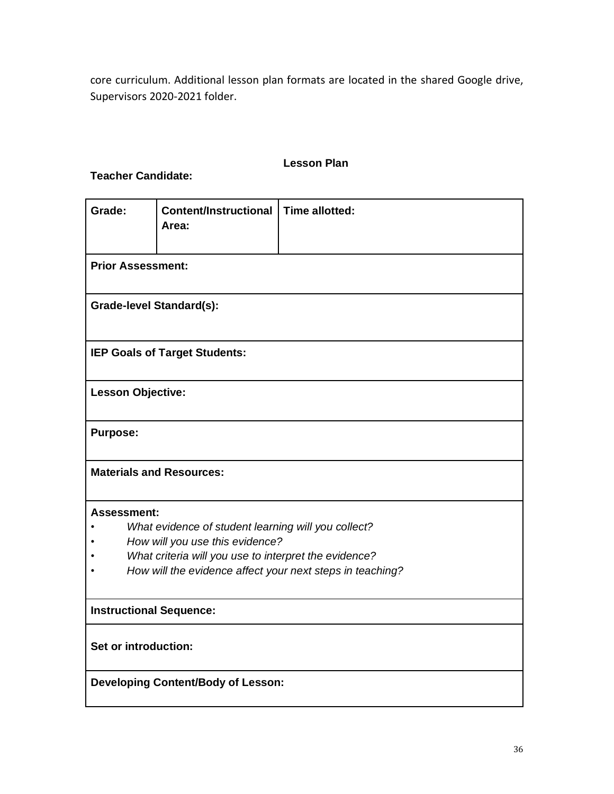core curriculum. Additional lesson plan formats are located in the shared Google drive, Supervisors 2020-2021 folder.

#### **Lesson Plan**

**Teacher Candidate:**

| Grade:                                                    | <b>Content/Instructional</b><br>Area:                 | <b>Time allotted:</b> |  |  |  |
|-----------------------------------------------------------|-------------------------------------------------------|-----------------------|--|--|--|
| <b>Prior Assessment:</b>                                  |                                                       |                       |  |  |  |
|                                                           | <b>Grade-level Standard(s):</b>                       |                       |  |  |  |
|                                                           | IEP Goals of Target Students:                         |                       |  |  |  |
| <b>Lesson Objective:</b>                                  |                                                       |                       |  |  |  |
| <b>Purpose:</b>                                           |                                                       |                       |  |  |  |
| <b>Materials and Resources:</b>                           |                                                       |                       |  |  |  |
| <b>Assessment:</b>                                        |                                                       |                       |  |  |  |
|                                                           | What evidence of student learning will you collect?   |                       |  |  |  |
|                                                           | How will you use this evidence?                       |                       |  |  |  |
|                                                           | What criteria will you use to interpret the evidence? |                       |  |  |  |
| How will the evidence affect your next steps in teaching? |                                                       |                       |  |  |  |
| <b>Instructional Sequence:</b>                            |                                                       |                       |  |  |  |
| Set or introduction:                                      |                                                       |                       |  |  |  |
| <b>Developing Content/Body of Lesson:</b>                 |                                                       |                       |  |  |  |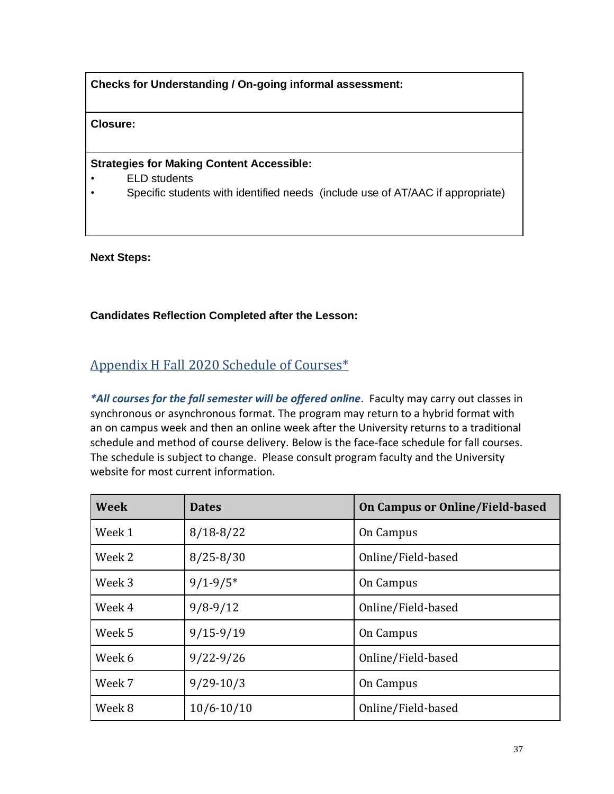**Checks for Understanding / On-going informal assessment:**

**Closure:**

#### **Strategies for Making Content Accessible:**

- **ELD** students
- Specific students with identified needs (include use of AT/AAC if appropriate)

**Next Steps:**

#### **Candidates Reflection Completed after the Lesson:**

# <span id="page-36-0"></span>Appendix H Fall 2020 Schedule of Courses\*

*\*All courses for the fall semester will be offered online*. Faculty may carry out classes in synchronous or asynchronous format. The program may return to a hybrid format with an on campus week and then an online week after the University returns to a traditional schedule and method of course delivery. Below is the face-face schedule for fall courses. The schedule is subject to change. Please consult program faculty and the University website for most current information.

| <b>Week</b> | <b>Dates</b>   | On Campus or Online/Field-based |
|-------------|----------------|---------------------------------|
| Week 1      | $8/18 - 8/22$  | On Campus                       |
| Week 2      | $8/25 - 8/30$  | Online/Field-based              |
| Week 3      | $9/1 - 9/5*$   | On Campus                       |
| Week 4      | $9/8 - 9/12$   | Online/Field-based              |
| Week 5      | $9/15 - 9/19$  | On Campus                       |
| Week 6      | $9/22 - 9/26$  | Online/Field-based              |
| Week 7      | $9/29 - 10/3$  | On Campus                       |
| Week 8      | $10/6 - 10/10$ | Online/Field-based              |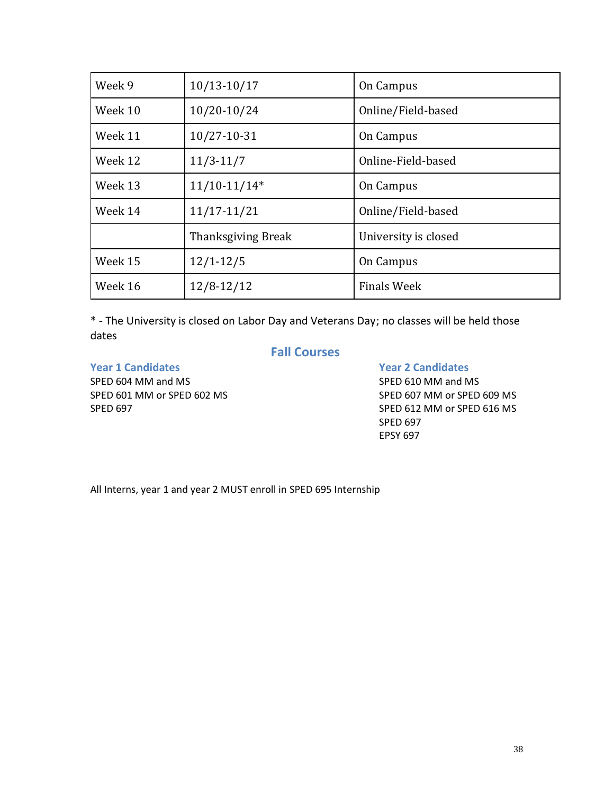| Week 9                     | $10/13 - 10/17$    | On Campus            |  |  |
|----------------------------|--------------------|----------------------|--|--|
| Week 10                    | 10/20-10/24        | Online/Field-based   |  |  |
| Week 11                    | 10/27-10-31        | On Campus            |  |  |
| Week 12                    | $11/3 - 11/7$      | Online-Field-based   |  |  |
| Week 13                    | $11/10-11/14*$     | On Campus            |  |  |
| Week 14<br>$11/17 - 11/21$ |                    | Online/Field-based   |  |  |
|                            | Thanksgiving Break | University is closed |  |  |
| Week 15                    | $12/1 - 12/5$      | On Campus            |  |  |
| Week 16                    | $12/8 - 12/12$     | <b>Finals Week</b>   |  |  |

\* - The University is closed on Labor Day and Veterans Day; no classes will be held those dates

**Fall Courses**

**Year 1 Candidates Year 2 Candidates**

SPED 610 MM and MS SPED 601 MM or SPED 602 MS SPED 609 MS SPED 697 SPED 612 MM or SPED 616 MS SPED 697 EPSY 697

All Interns, year 1 and year 2 MUST enroll in SPED 695 Internship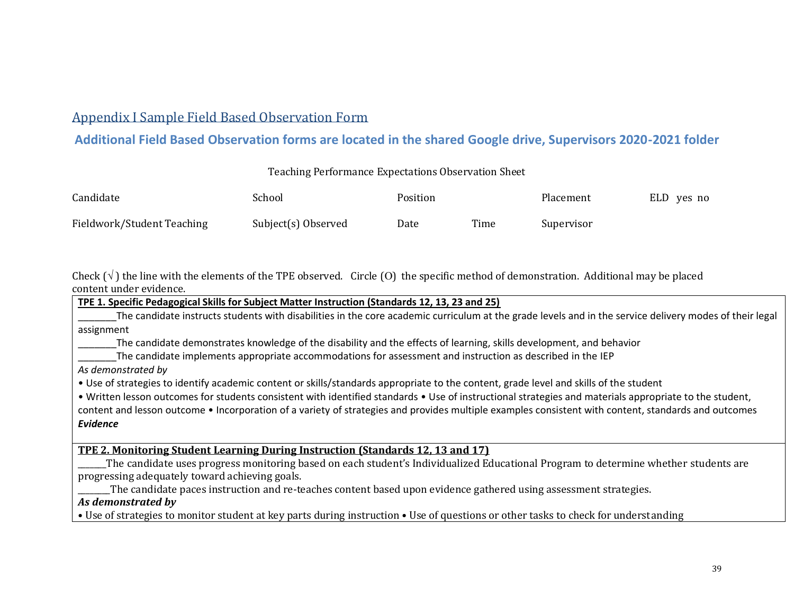# Appendix I Sample Field Based Observation Form

# **Additional Field Based Observation forms are located in the shared Google drive, Supervisors 2020-2021 folder**

#### Teaching Performance Expectations Observation Sheet

| Candidate                  | School              | Position |      | Placement  | ELD yes no |
|----------------------------|---------------------|----------|------|------------|------------|
| Fieldwork/Student Teaching | Subject(s) Observed | Date     | Time | Supervisor |            |

<span id="page-38-0"></span>Check  $(\sqrt{\ } )$  the line with the elements of the TPE observed. Circle (O) the specific method of demonstration. Additional may be placed content under evidence.

**TPE 1. Specific Pedagogical Skills for Subject Matter Instruction (Standards 12, 13, 23 and 25)** The candidate instructs students with disabilities in the core academic curriculum at the grade levels and in the service delivery modes of their legal assignment \_\_\_\_\_\_\_The candidate demonstrates knowledge of the disability and the effects of learning, skills development, and behavior The candidate implements appropriate accommodations for assessment and instruction as described in the IEP *As demonstrated by* • Use of strategies to identify academic content or skills/standards appropriate to the content, grade level and skills of the student • Written lesson outcomes for students consistent with identified standards • Use of instructional strategies and materials appropriate to the student, content and lesson outcome • Incorporation of a variety of strategies and provides multiple examples consistent with content, standards and outcomes *Evidence* **TPE 2. Monitoring Student Learning During Instruction (Standards 12, 13 and 17)** \_\_\_\_\_\_\_The candidate uses progress monitoring based on each student's Individualized Educational Program to determine whether students are progressing adequately toward achieving goals. \_\_\_\_\_\_\_\_The candidate paces instruction and re-teaches content based upon evidence gathered using assessment strategies. *As demonstrated by* • Use of strategies to monitor student at key parts during instruction • Use of questions or other tasks to check for understanding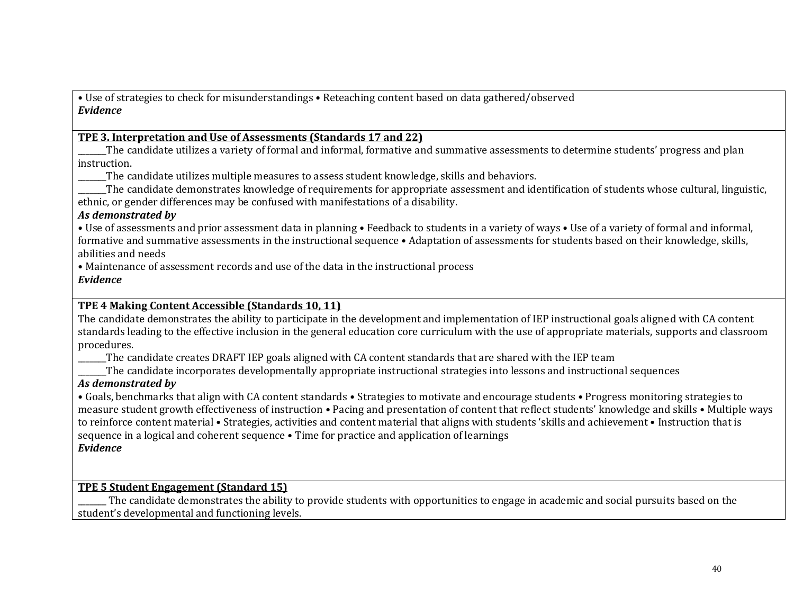• Use of strategies to check for misunderstandings • Reteaching content based on data gathered/observed *Evidence*

#### **TPE 3. Interpretation and Use of Assessments (Standards 17 and 22)**

The candidate utilizes a variety of formal and informal, formative and summative assessments to determine students' progress and plan instruction.

The candidate utilizes multiple measures to assess student knowledge, skills and behaviors.

\_\_\_\_\_\_\_The candidate demonstrates knowledge of requirements for appropriate assessment and identification of students whose cultural, linguistic, ethnic, or gender differences may be confused with manifestations of a disability.

#### *As demonstrated by*

• Use of assessments and prior assessment data in planning • Feedback to students in a variety of ways • Use of a variety of formal and informal, formative and summative assessments in the instructional sequence • Adaptation of assessments for students based on their knowledge, skills, abilities and needs

• Maintenance of assessment records and use of the data in the instructional process

#### *Evidence*

#### **TPE 4 Making Content Accessible (Standards 10, 11)**

The candidate demonstrates the ability to participate in the development and implementation of IEP instructional goals aligned with CA content standards leading to the effective inclusion in the general education core curriculum with the use of appropriate materials, supports and classroom procedures.

\_\_\_\_\_\_\_The candidate creates DRAFT IEP goals aligned with CA content standards that are shared with the IEP team

\_\_\_\_\_\_\_The candidate incorporates developmentally appropriate instructional strategies into lessons and instructional sequences

#### *As demonstrated by*

• Goals, benchmarks that align with CA content standards • Strategies to motivate and encourage students • Progress monitoring strategies to measure student growth effectiveness of instruction • Pacing and presentation of content that reflect students' knowledge and skills • Multiple ways to reinforce content material • Strategies, activities and content material that aligns with students 'skills and achievement • Instruction that is sequence in a logical and coherent sequence • Time for practice and application of learnings *Evidence*

#### **TPE 5 Student Engagement (Standard 15)**

The candidate demonstrates the ability to provide students with opportunities to engage in academic and social pursuits based on the student's developmental and functioning levels.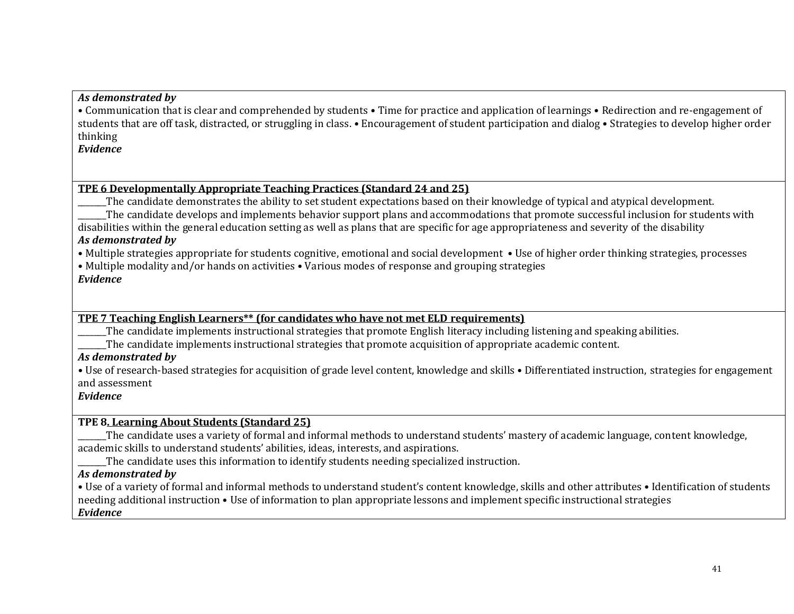#### *As demonstrated by*

• Communication that is clear and comprehended by students • Time for practice and application of learnings • Redirection and re-engagement of students that are off task, distracted, or struggling in class. • Encouragement of student participation and dialog • Strategies to develop higher order thinking

#### *Evidence*

#### **TPE 6 Developmentally Appropriate Teaching Practices (Standard 24 and 25)**

The candidate demonstrates the ability to set student expectations based on their knowledge of typical and atypical development. The candidate develops and implements behavior support plans and accommodations that promote successful inclusion for students with disabilities within the general education setting as well as plans that are specific for age appropriateness and severity of the disability

#### *As demonstrated by*

• Multiple strategies appropriate for students cognitive, emotional and social development • Use of higher order thinking strategies, processes

• Multiple modality and/or hands on activities • Various modes of response and grouping strategies

#### *Evidence*

#### **TPE 7 Teaching English Learners\*\* (for candidates who have not met ELD requirements)**

The candidate implements instructional strategies that promote English literacy including listening and speaking abilities.

The candidate implements instructional strategies that promote acquisition of appropriate academic content.

## *As demonstrated by*

**•** Use of research-based strategies for acquisition of grade level content, knowledge and skills • Differentiated instruction, strategies for engagement and assessment

#### *Evidence*

## **TPE 8. Learning About Students (Standard 25)**

The candidate uses a variety of formal and informal methods to understand students' mastery of academic language, content knowledge, academic skills to understand students' abilities, ideas, interests, and aspirations.

The candidate uses this information to identify students needing specialized instruction.

#### *As demonstrated by*

• Use of a variety of formal and informal methods to understand student's content knowledge, skills and other attributes • Identification of students needing additional instruction • Use of information to plan appropriate lessons and implement specific instructional strategies *Evidence*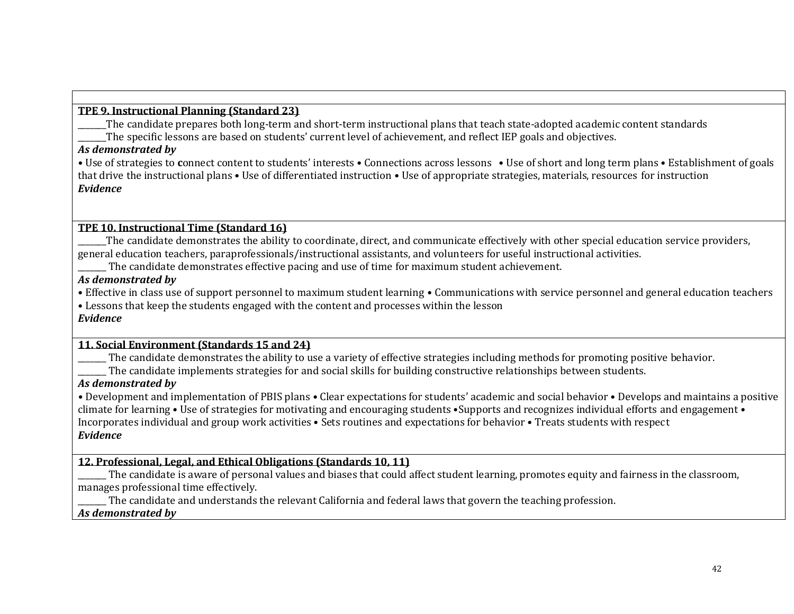#### **TPE 9. Instructional Planning (Standard 23)**

\_\_\_\_\_\_\_The candidate prepares both long-term and short-term instructional plans that teach state-adopted academic content standards The specific lessons are based on students' current level of achievement, and reflect IEP goals and objectives.

#### *As demonstrated by*

**•** Use of strategies to **c**onnect content to students' interests • Connections across lessons • Use of short and long term plans • Establishment of goals that drive the instructional plans • Use of differentiated instruction • Use of appropriate strategies, materials, resources for instruction *Evidence*

#### **TPE 10. Instructional Time (Standard 16)**

\_\_\_\_\_\_\_The candidate demonstrates the ability to coordinate, direct, and communicate effectively with other special education service providers, general education teachers, paraprofessionals/instructional assistants, and volunteers for useful instructional activities.

\_\_\_\_\_\_\_ The candidate demonstrates effective pacing and use of time for maximum student achievement.

#### *As demonstrated by*

• Effective in class use of support personnel to maximum student learning • Communications with service personnel and general education teachers

• Lessons that keep the students engaged with the content and processes within the lesson

#### *Evidence*

#### **11. Social Environment (Standards 15 and 24)**

The candidate demonstrates the ability to use a variety of effective strategies including methods for promoting positive behavior.

The candidate implements strategies for and social skills for building constructive relationships between students.

## *As demonstrated by*

*•* Development and implementation of PBIS plans • Clear expectations for students' academic and social behavior • Develops and maintains a positive climate for learning • Use of strategies for motivating and encouraging students •Supports and recognizes individual efforts and engagement • Incorporates individual and group work activities • Sets routines and expectations for behavior • Treats students with respect *Evidence*

#### **12. Professional, Legal, and Ethical Obligations (Standards 10, 11)**

The candidate is aware of personal values and biases that could affect student learning, promotes equity and fairness in the classroom, manages professional time effectively.

\_\_\_\_\_\_\_ The candidate and understands the relevant California and federal laws that govern the teaching profession.

#### *As demonstrated by*